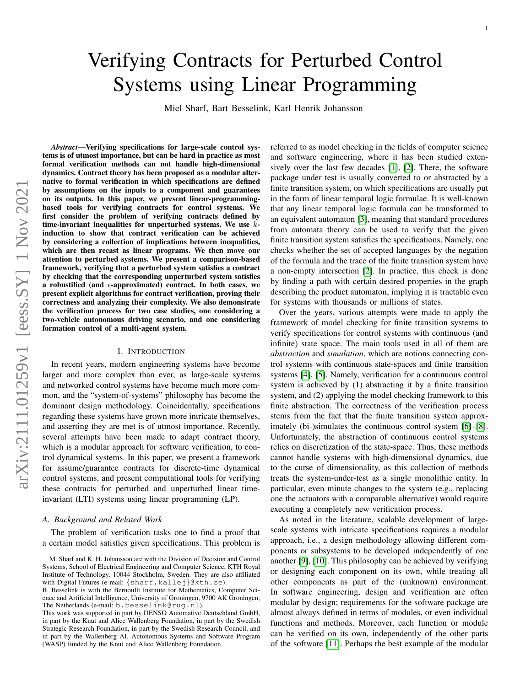# Verifying Contracts for Perturbed Control Systems using Linear Programming

Miel Sharf, Bart Besselink, Karl Henrik Johansson

*Abstract*—Verifying specifications for large-scale control systems is of utmost importance, but can be hard in practice as most formal verification methods can not handle high-dimensional dynamics. Contract theory has been proposed as a modular alternative to formal verification in which specifications are defined by assumptions on the inputs to a component and guarantees on its outputs. In this paper, we present linear-programmingbased tools for verifying contracts for control systems. We first consider the problem of verifying contracts defined by time-invariant inequalities for unperturbed systems. We use  $k$ induction to show that contract verification can be achieved by considering a collection of implications between inequalities, which are then recast as linear programs. We then move our attention to perturbed systems. We present a comparison-based framework, verifying that a perturbed system satisfies a contract by checking that the corresponding unperturbed system satisfies a robustified (and  $\epsilon$ -approximated) contract. In both cases, we present explicit algorithms for contract verification, proving their correctness and analyzing their complexity. We also demonstrate the verification process for two case studies, one considering a two-vehicle autonomous driving scenario, and one considering formation control of a multi-agent system.

## I. INTRODUCTION

In recent years, modern engineering systems have become larger and more complex than ever, as large-scale systems and networked control systems have become much more common, and the "system-of-systems" philosophy has become the dominant design methodology. Coincidentally, specifications regarding these systems have grown more intricate themselves, and asserting they are met is of utmost importance. Recently, several attempts have been made to adapt contract theory, which is a modular approach for software verification, to control dynamical systems. In this paper, we present a framework for assume/guarantee contracts for discrete-time dynamical control systems, and present computational tools for verifying these contracts for perturbed and unperturbed linear timeinvariant (LTI) systems using linear programming (LP).

## *A. Background and Related Work*

The problem of verification tasks one to find a proof that a certain model satisfies given specifications. This problem is referred to as model checking in the fields of computer science and software engineering, where it has been studied extensively over the last few decades [\[1\]](#page-13-0), [\[2\]](#page-13-1). There, the software package under test is usually converted to or abstracted by a finite transition system, on which specifications are usually put in the form of linear temporal logic formulae. It is well-known that any linear temporal logic formula can be transformed to an equivalent automaton [\[3\]](#page-13-2), meaning that standard procedures from automata theory can be used to verify that the given finite transition system satisfies the specifications. Namely, one checks whether the set of accepted languages by the negation of the formula and the trace of the finite transition system have a non-empty intersection [\[2\]](#page-13-1). In practice, this check is done by finding a path with certain desired properties in the graph describing the product automaton, implying it is tractable even for systems with thousands or millions of states.

Over the years, various attempts were made to apply the framework of model checking for finite transition systems to verify specifications for control systems with continuous (and infinite) state space. The main tools used in all of them are *abstraction* and *simulation*, which are notions connecting control systems with continuous state-spaces and finite transition systems [\[4\]](#page-13-3), [\[5\]](#page-13-4). Namely, verification for a continuous control system is achieved by (1) abstracting it by a finite transition system, and (2) applying the model checking framework to this finite abstraction. The correctness of the verification process stems from the fact that the finite transition system approximately (bi-)simulates the continuous control system [\[6\]](#page-13-5)–[\[8\]](#page-13-6). Unfortunately, the abstraction of continuous control systems relies on discretization of the state-space. Thus, these methods cannot handle systems with high-dimensional dynamics, due to the curse of dimensionality, as this collection of methods treats the system-under-test as a single monolithic entity. In particular, even minute changes to the system (e.g., replacing one the actuators with a comparable alternative) would require executing a completely new verification process.

As noted in the literature, scalable development of largescale systems with intricate specifications requires a modular approach, i.e., a design methodology allowing different components or subsystems to be developed independently of one another [\[9\]](#page-14-0), [\[10\]](#page-14-1). This philosophy can be achieved by verifying or designing each component on its own, while treating all other components as part of the (unknown) environment. In software engineering, design and verification are often modular by design; requirements for the software package are almost always defined in terms of modules, or even individual functions and methods. Moreover, each function or module can be verified on its own, independently of the other parts of the software [\[11\]](#page-14-2). Perhaps the best example of the modular

M. Sharf and K. H. Johansson are with the Division of Decision and Control Systems, School of Electrical Engineering and Computer Science, KTH Royal Institute of Technology, 10044 Stockholm, Sweden. They are also affiliated with Digital Futures (e-mail: { sharf, kallej}@kth.se).

B. Besselink is with the Bernoulli Institute for Mathematics, Computer Science and Artificial Intelligence, University of Groningen, 9700 AK Groningen, The Netherlands (e-mail: b.besselink@rug.nl).

This work was supported in part by DENSO Automative Deutschland GmbH, in part by the Knut and Alice Wallenberg Foundation, in part by the Swedish Strategic Research Foundation, in part by the Swedish Research Council, and in part by the Wallenberg AI, Autonomous Systems and Software Program (WASP) funded by the Knut and Alice Wallenberg Foundation.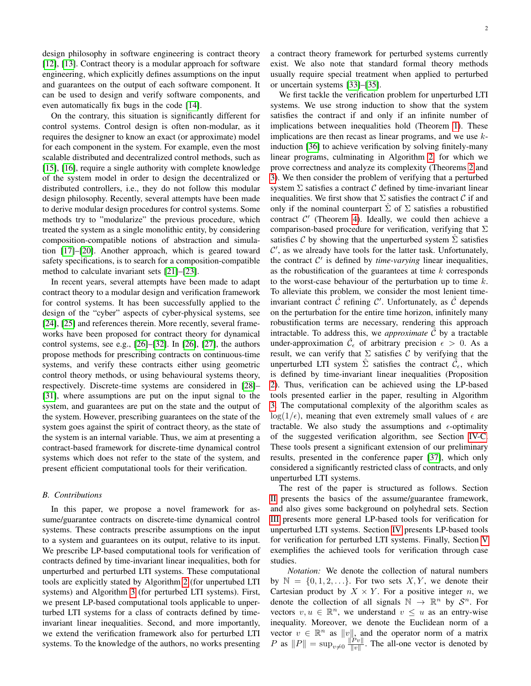design philosophy in software engineering is contract theory [\[12\]](#page-14-3), [\[13\]](#page-14-4). Contract theory is a modular approach for software engineering, which explicitly defines assumptions on the input and guarantees on the output of each software component. It can be used to design and verify software components, and even automatically fix bugs in the code [\[14\]](#page-14-5).

On the contrary, this situation is significantly different for control systems. Control design is often non-modular, as it requires the designer to know an exact (or approximate) model for each component in the system. For example, even the most scalable distributed and decentralized control methods, such as [\[15\]](#page-14-6), [\[16\]](#page-14-7), require a single authority with complete knowledge of the system model in order to design the decentralized or distributed controllers, i.e., they do not follow this modular design philosophy. Recently, several attempts have been made to derive modular design procedures for control systems. Some methods try to "modularize" the previous procedure, which treated the system as a single monolithic entity, by considering composition-compatible notions of abstraction and simulation [\[17\]](#page-14-8)–[\[20\]](#page-14-9). Another approach, which is geared toward safety specifications, is to search for a composition-compatible method to calculate invariant sets [\[21\]](#page-14-10)–[\[23\]](#page-14-11).

In recent years, several attempts have been made to adapt contract theory to a modular design and verification framework for control systems. It has been successfully applied to the design of the "cyber" aspects of cyber-physical systems, see [\[24\]](#page-14-12), [\[25\]](#page-14-13) and references therein. More recently, several frameworks have been proposed for contract theory for dynamical control systems, see e.g., [\[26\]](#page-14-14)–[\[32\]](#page-14-15). In [\[26\]](#page-14-14), [\[27\]](#page-14-16), the authors propose methods for prescribing contracts on continuous-time systems, and verify these contracts either using geometric control theory methods, or using behavioural systems theory, respectively. Discrete-time systems are considered in [\[28\]](#page-14-17)– [\[31\]](#page-14-18), where assumptions are put on the input signal to the system, and guarantees are put on the state and the output of the system. However, prescribing guarantees on the state of the system goes against the spirit of contract theory, as the state of the system is an internal variable. Thus, we aim at presenting a contract-based framework for discrete-time dynamical control systems which does not refer to the state of the system, and present efficient computational tools for their verification.

# *B. Contributions*

In this paper, we propose a novel framework for assume/guarantee contracts on discrete-time dynamical control systems. These contracts prescribe assumptions on the input to a system and guarantees on its output, relative to its input. We prescribe LP-based computational tools for verification of contracts defined by time-invariant linear inequalities, both for unperturbed and perturbed LTI systems. These computational tools are explicitly stated by Algorithm [2](#page-6-0) (for unpertubed LTI systems) and Algorithm [3](#page-8-0) (for perturbed LTI systems). First, we present LP-based computational tools applicable to unperturbed LTI systems for a class of contracts defined by timeinvariant linear inequalities. Second, and more importantly, we extend the verification framework also for perturbed LTI systems. To the knowledge of the authors, no works presenting a contract theory framework for perturbed systems currently exist. We also note that standard formal theory methods usually require special treatment when applied to perturbed or uncertain systems [\[33\]](#page-14-19)–[\[35\]](#page-14-20).

We first tackle the verification problem for unperturbed LTI systems. We use strong induction to show that the system satisfies the contract if and only if an infinite number of implications between inequalities hold (Theorem [1\)](#page-4-0). These implications are then recast as linear programs, and we use  $k$ induction [\[36\]](#page-14-21) to achieve verification by solving finitely-many linear programs, culminating in Algorithm [2,](#page-6-0) for which we prove correctness and analyze its complexity (Theorems [2](#page-5-0) and [3\)](#page-6-1). We then consider the problem of verifying that a perturbed system  $\Sigma$  satisfies a contract C defined by time-invariant linear inequalities. We first show that  $\Sigma$  satisfies the contract  $\mathcal C$  if and only if the nominal counterpart  $\hat{\Sigma}$  of  $\Sigma$  satisfies a robustified contract  $C'$  (Theorem [4\)](#page-7-0). Ideally, we could then achieve a comparison-based procedure for verification, verifying that  $\Sigma$ satisfies C by showing that the unperturbed system  $\Sigma$  satisfies  $\mathcal{C}'$ , as we already have tools for the latter task. Unfortunately, the contract  $C'$  is defined by *time-varying* linear inequalities, as the robustification of the guarantees at time  $k$  corresponds to the worst-case behaviour of the perturbation up to time  $k$ . To alleviate this problem, we consider the most lenient timeinvariant contract  $\hat{\mathcal{C}}$  refining  $\mathcal{C}'$ . Unfortunately, as  $\hat{\mathcal{C}}$  depends on the perturbation for the entire time horizon, infinitely many robustification terms are necessary, rendering this approach intractable. To address this, we *approximate*  $\ddot{C}$  by a tractable under-approximation  $\hat{\mathcal{C}}_{\epsilon}$  of arbitrary precision  $\epsilon > 0$ . As a result, we can verify that  $\Sigma$  satisfies C by verifying that the unperturbed LTI system  $\hat{\Sigma}$  satisfies the contract  $\tilde{\vec{\mathcal{C}}}_{\epsilon}$ , which is defined by time-invariant linear inequalities (Proposition [2\)](#page-8-1). Thus, verification can be achieved using the LP-based tools presented earlier in the paper, resulting in Algorithm [3.](#page-8-0) The computational complexity of the algorithm scales as  $log(1/\epsilon)$ , meaning that even extremely small values of  $\epsilon$  are tractable. We also study the assumptions and  $\epsilon$ -optimality of the suggested verification algorithm, see Section [IV-C.](#page-8-2) These tools present a significant extension of our preliminary results, presented in the conference paper [\[37\]](#page-14-22), which only considered a significantly restricted class of contracts, and only unperturbed LTI systems.

The rest of the paper is structured as follows. Section [II](#page-2-0) presents the basics of the assume/guarantee framework, and also gives some background on polyhedral sets. Section [III](#page-3-0) presents more general LP-based tools for verification for unperturbed LTI systems. Section [IV](#page-6-2) presents LP-based tools for verification for perturbed LTI systems. Finally, Section [V](#page-10-0) exemplifies the achieved tools for verification through case studies.

*Notation:* We denote the collection of natural numbers by  $\mathbb{N} = \{0, 1, 2, \ldots\}$ . For two sets  $X, Y$ , we denote their Cartesian product by  $X \times Y$ . For a positive integer n, we denote the collection of all signals  $\mathbb{N} \to \mathbb{R}^n$  by  $\mathcal{S}^n$ . For vectors  $v, u \in \mathbb{R}^n$ , we understand  $v \leq u$  as an entry-wise inequality. Moreover, we denote the Euclidean norm of a vector  $v \in \mathbb{R}^n$  as  $||v||$ , and the operator norm of a matrix *P* as  $||P|| = \sup_{v \neq 0} \frac{||Pv||}{||v||}$  $\frac{Pv_{\parallel}}{\Vert v \Vert}$ . The all-one vector is denoted by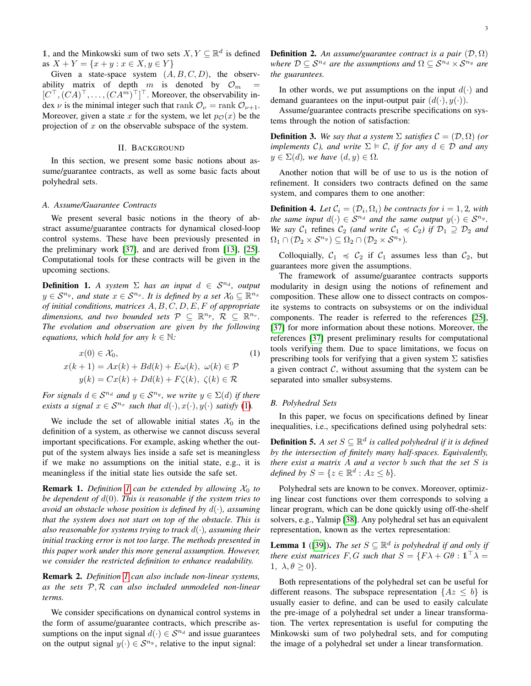1, and the Minkowski sum of two sets  $X, Y \subseteq \mathbb{R}^d$  is defined as  $X + Y = \{x + y : x \in X, y \in Y\}$ 

Given a state-space system  $(A, B, C, D)$ , the observability matrix of depth  $m$  is denoted by  $\mathcal{O}_m$  $[C^{\top}, (CA)^{\top}, \ldots, (CA^m)^{\top}]^{\top}$ . Moreover, the observability index  $\nu$  is the minimal integer such that rank  $\mathcal{O}_{\nu} = \text{rank } \mathcal{O}_{\nu+1}$ . Moreover, given a state x for the system, we let  $p_{\mathcal{O}}(x)$  be the projection of  $x$  on the observable subspace of the system.

# II. BACKGROUND

<span id="page-2-0"></span>In this section, we present some basic notions about assume/guarantee contracts, as well as some basic facts about polyhedral sets.

#### *A. Assume/Guarantee Contracts*

We present several basic notions in the theory of abstract assume/guarantee contracts for dynamical closed-loop control systems. These have been previously presented in the preliminary work [\[37\]](#page-14-22), and are derived from [\[13\]](#page-14-4), [\[25\]](#page-14-13). Computational tools for these contracts will be given in the upcoming sections.

<span id="page-2-2"></span>**Definition 1.** *A system*  $\Sigma$  *has an input*  $d \in S^{n_d}$ *, output*  $y \in \mathcal{S}^{n_y}$ , and state  $x \in \mathcal{S}^{n_x}$ . It is defined by a set  $\mathcal{X}_0 \subseteq \mathbb{R}^{n_x}$ *of initial conditions, matrices* A, B, C, D, E, F *of appropriate dimensions, and two bounded sets*  $P \subseteq \mathbb{R}^{n_p}$ ,  $R \subseteq \mathbb{R}^{n_r}$ . *The evolution and observation are given by the following equations, which hold for any*  $k \in \mathbb{N}$ *:* 

$$
x(0) \in \mathcal{X}_0,
$$
  
\n
$$
x(k+1) = Ax(k) + Bd(k) + E\omega(k), \ \omega(k) \in \mathcal{P}
$$
  
\n
$$
y(k) = Cx(k) + Dd(k) + F\zeta(k), \ \zeta(k) \in \mathcal{R}
$$
\n(1)

*For signals*  $d \in S^{n_d}$  *and*  $y \in S^{n_y}$ *, we write*  $y \in \Sigma(d)$  *if there exists a signal*  $x \in S^{n_x}$  *such that*  $d(\cdot), x(\cdot), y(\cdot)$  *satisfy* [\(1\)](#page-2-1)*.* 

We include the set of allowable initial states  $\mathcal{X}_0$  in the definition of a system, as otherwise we cannot discuss several important specifications. For example, asking whether the output of the system always lies inside a safe set is meaningless if we make no assumptions on the initial state, e.g., it is meaningless if the initial state lies outside the safe set.

<span id="page-2-4"></span>**Remark [1](#page-2-2).** *Definition 1 can be extended by allowing*  $X_0$  *to be dependent of* d(0)*. This is reasonable if the system tries to avoid an obstacle whose position is defined by* d(·)*, assuming that the system does not start on top of the obstacle. This is also reasonable for systems trying to track* d(·)*, assuming their initial tracking error is not too large. The methods presented in this paper work under this more general assumption. However, we consider the restricted definition to enhance readability.*

Remark 2. *Definition [1](#page-2-2) can also include non-linear systems, as the sets* P, R *can also included unmodeled non-linear terms.*

We consider specifications on dynamical control systems in the form of assume/guarantee contracts, which prescribe assumptions on the input signal  $d(\cdot) \in \mathcal{S}^{n_d}$  and issue guarantees on the output signal  $y(\cdot) \in \mathcal{S}^{n_y}$ , relative to the input signal:

**Definition 2.** An assume/guarantee contract is a pair  $(\mathcal{D}, \Omega)$ *where*  $D \subseteq S^{n_d}$  *are the assumptions and*  $\Omega \subseteq S^{n_d} \times S^{n_y}$  *are the guarantees.*

In other words, we put assumptions on the input  $d(\cdot)$  and demand guarantees on the input-output pair  $(d(\cdot), y(\cdot))$ .

Assume/guarantee contracts prescribe specifications on systems through the notion of satisfaction:

**Definition 3.** We say that a system  $\Sigma$  satisfies  $\mathcal{C} = (\mathcal{D}, \Omega)$  (or *implements* C*), and write*  $\Sigma \models C$ *, if for any*  $d \in D$  *and any*  $y \in \Sigma(d)$ *, we have*  $(d, y) \in \Omega$ *.* 

Another notion that will be of use to us is the notion of refinement. It considers two contracts defined on the same system, and compares them to one another:

**Definition 4.** Let  $\mathcal{C}_i = (\mathcal{D}_i, \Omega_i)$  be contracts for  $i = 1, 2$ , with *the same input*  $d(\cdot) \in S^{n_d}$  *and the same output*  $y(\cdot) \in S^{n_y}$ *. We say*  $C_1$  refines  $C_2$  *(and write*  $C_1 \preccurlyeq C_2$ *) if*  $\mathcal{D}_1 \supseteq \mathcal{D}_2$  *and*  $\Omega_1 \cap (\mathcal{D}_2 \times \mathcal{S}^{n_y}) \subseteq \Omega_2 \cap (\mathcal{D}_2 \times \mathcal{S}^{n_y}).$ 

Colloquially,  $C_1 \preccurlyeq C_2$  if  $C_1$  assumes less than  $C_2$ , but guarantees more given the assumptions.

The framework of assume/guarantee contracts supports modularity in design using the notions of refinement and composition. These allow one to dissect contracts on composite systems to contracts on subsystems or on the individual components. The reader is referred to the references [\[25\]](#page-14-13), [\[37\]](#page-14-22) for more information about these notions. Moreover, the references [\[37\]](#page-14-22) present preliminary results for computational tools verifying them. Due to space limitations, we focus on prescribing tools for verifying that a given system  $\Sigma$  satisfies a given contract  $C$ , without assuming that the system can be separated into smaller subsystems.

## <span id="page-2-3"></span><span id="page-2-1"></span>*B. Polyhedral Sets*

In this paper, we focus on specifications defined by linear inequalities, i.e., specifications defined using polyhedral sets:

**Definition 5.** A set  $S \subseteq \mathbb{R}^d$  is called polyhedral if it is defined *by the intersection of finitely many half-spaces. Equivalently, there exist a matrix* A *and a vector* b *such that the set* S *is defined by*  $S = \{z \in \mathbb{R}^d : Az \leq b\}.$ 

Polyhedral sets are known to be convex. Moreover, optimizing linear cost functions over them corresponds to solving a linear program, which can be done quickly using off-the-shelf solvers, e.g., Yalmip [\[38\]](#page-14-23). Any polyhedral set has an equivalent representation, known as the vertex representation:

**Lemma 1** ([\[39\]](#page-14-24)). *The set*  $S \subseteq \mathbb{R}^d$  *is polyhedral if and only if there exist matrices*  $F, G$  *such that*  $S = \{F\lambda + G\theta : \mathbb{1}^T\lambda =$ 1,  $\lambda, \theta \geq 0$ .

Both representations of the polyhedral set can be useful for different reasons. The subspace representation  $\{Az \leq b\}$  is usually easier to define, and can be used to easily calculate the pre-image of a polyhedral set under a linear transformation. The vertex representation is useful for computing the Minkowski sum of two polyhedral sets, and for computing the image of a polyhedral set under a linear transformation.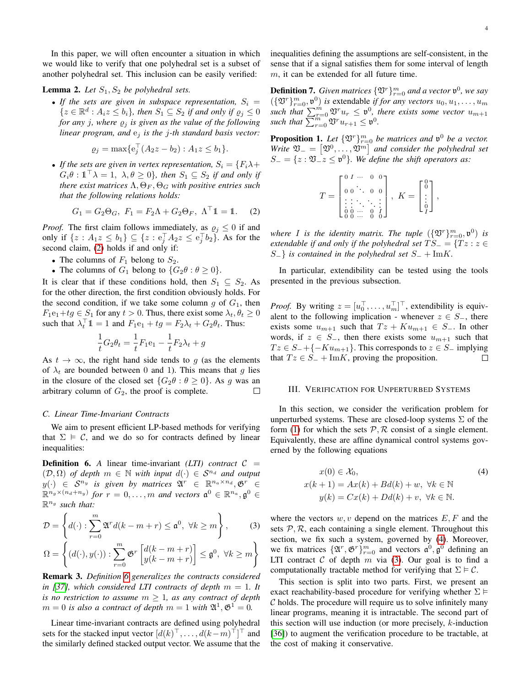In this paper, we will often encounter a situation in which we would like to verify that one polyhedral set is a subset of another polyhedral set. This inclusion can be easily verified:

# <span id="page-3-5"></span>**Lemma 2.** *Let*  $S_1$ ,  $S_2$  *be polyhedral sets.*

• If the sets are given in subspace representation,  $S_i =$  $\{z \in \mathbb{R}^d : A_iz \leq b_i\}$ , then  $S_1 \subseteq S_2$  if and only if  $\varrho_j \leq 0$ *for any j, where*  $\varrho_j$  *is given as the value of the following linear program, and* e<sup>j</sup> *is the* j*-th standard basis vector:*

$$
\varrho_j = \max \{ e_j^{\top} (A_2 z - b_2) : A_1 z \le b_1 \}.
$$

• If the sets are given in vertex representation,  $S_i = \{F_i \lambda +$  $G_i \theta : \mathbb{1}^\top \lambda = 1, \ \lambda, \theta \geq 0$ , then  $S_1 \subseteq S_2$  if and only if *there exist matrices*  $\Lambda$ ,  $\Theta_F$ ,  $\Theta_G$  *with positive entries such that the following relations holds:*

$$
G_1 = G_2 \Theta_G
$$
,  $F_1 = F_2 \Lambda + G_2 \Theta_F$ ,  $\Lambda^{\top} \mathbb{1} = \mathbb{1}$ . (2)

*Proof.* The first claim follows immediately, as  $\varrho_j \leq 0$  if and only if  $\{z : A_1 z \le b_1\} \subseteq \{z : e_j^{\top} A_2 z \le e_j^{\top} b_2\}$ . As for the second claim, [\(2\)](#page-3-1) holds if and only if:

- The columns of  $F_1$  belong to  $S_2$ .
- The columns of  $G_1$  belong to  $\{G_2\theta : \theta \ge 0\}.$

It is clear that if these conditions hold, then  $S_1 \subseteq S_2$ . As for the other direction, the first condition obviously holds. For the second condition, if we take some column g of  $G_1$ , then  $F_1e_1+tg \in S_1$  for any  $t > 0$ . Thus, there exist some  $\lambda_t, \theta_t \geq 0$ such that  $\lambda_t^{\top} \mathbb{1} = 1$  and  $F_1 e_1 + t g = F_2 \lambda_t + G_2 \theta_t$ . Thus:

$$
\frac{1}{t}G_2\theta_t=\frac{1}{t}F_1\mathbf{e}_1-\frac{1}{t}F_2\lambda_t+g
$$

As  $t \to \infty$ , the right hand side tends to g (as the elements of  $\lambda_t$  are bounded between 0 and 1). This means that g lies in the closure of the closed set  $\{G_2\theta : \theta \ge 0\}$ . As g was an arbitrary column of  $G_2$ , the proof is complete.  $\Box$ 

## *C. Linear Time-Invariant Contracts*

We aim to present efficient LP-based methods for verifying that  $\Sigma \models C$ , and we do so for contracts defined by linear inequalities:

<span id="page-3-2"></span>**Definition 6.** A linear time-invariant *(LTI) contract*  $C =$  $(D, \Omega)$  *of depth*  $m \in \mathbb{N}$  *with input*  $d(\cdot) \in S^{n_d}$  *and output*  $y(\cdot) \in S^{n_y}$  is given by matrices  $\mathfrak{A}^r \in \mathbb{R}^{n_a \times n_d}, \mathfrak{G}^r \in \mathbb{R}^{n_d}$  $\mathbb{R}^{n_g \times (n_d + n_y)}$  for  $r = 0, \ldots, m$  and vectors  $\mathfrak{a}^0 \in \mathbb{R}^{n_a}, \mathfrak{g}^0 \in$ R <sup>n</sup><sup>g</sup> *such that:*

$$
\mathcal{D} = \left\{ d(\cdot) : \sum_{r=0}^{m} \mathfrak{A}^r d(k - m + r) \le \mathfrak{a}^0, \ \forall k \ge m \right\},\tag{3}
$$

$$
\Omega = \left\{ (d(\cdot), y(\cdot)) : \sum_{r=0}^{m} \mathfrak{G}^r \begin{bmatrix} d(k-m+r) \\ y(k-m+r) \end{bmatrix} \leq \mathfrak{g}^0, \ \forall k \geq m \right\}
$$

Remark 3. *Definition [6](#page-3-2) generalizes the contracts considered in* [\[37\]](#page-14-22), which considered LTI contracts of depth  $m = 1$ . It *is no restriction to assume*  $m \geq 1$ *, as any contract of depth*  $m = 0$  is also a contract of depth  $m = 1$  with  $\mathfrak{A}^1, \mathfrak{G}^1 = 0$ .

Linear time-invariant contracts are defined using polyhedral sets for the stacked input vector  $[d(k)]^{\top}, \ldots, d(k-m)^{\top}]^{\top}$  and the similarly defined stacked output vector. We assume that the inequalities defining the assumptions are self-consistent, in the sense that if a signal satisfies them for some interval of length  $m$ , it can be extended for all future time.

**Definition 7.** Given matrices  $\{\mathfrak{V}^r\}_{r=0}^m$  and a vector  $\mathfrak{v}^0$ , we say  $(\{\mathfrak{V}^r\}_{r=0}^m, \mathfrak{v}^0)$  *is* extendable *if for any vectors*  $u_0, u_1, \ldots, u_m$ such that  $\sum_{r=0}^{m} \mathfrak{V}^r u_r \leq \mathfrak{v}^0$ , there exists some vector  $u_{m+1}$ such that  $\sum_{r=0}^{m} \mathfrak{V}^r u_{r+1} \leq \mathfrak{v}^0$ .

**Proposition 1.** Let  $\{\mathfrak{V}^r\}_{r=0}^m$  be matrices and  $\mathfrak{v}^0$  be a vector. *Write*  $\mathfrak{V}_- = [\mathfrak{V}^0, \dots, \mathfrak{V}^m]$  and consider the polyhedral set  $S_-=\{z:\mathfrak{V}_-z\leq \mathfrak{v}^0\}$ . We define the shift operators as:

$$
T = \begin{bmatrix} 0 & I & \cdots & 0 & 0 \\ 0 & 0 & \ddots & 0 & 0 \\ \vdots & \vdots & \ddots & \ddots & \vdots \\ 0 & 0 & \cdots & 0 & I \\ 0 & 0 & \cdots & 0 & 0 \end{bmatrix}, \ K = \begin{bmatrix} 0 \\ 0 \\ \vdots \\ 0 \\ I \end{bmatrix},
$$

<span id="page-3-1"></span>where *I* is the identity matrix. The tuple  $(\{\mathfrak{V}^r\}_{r=0}^m, \mathfrak{v}^0)$  is *extendable if and only if the polyhedral set*  $TS_ = \{Tz : z \in \mathbb{R}^2\}$  $S_$ <sup>}</sup> *is contained in the polyhedral set*  $S_$  + ImK.

In particular, extendibility can be tested using the tools presented in the previous subsection.

*Proof.* By writing  $z = [u_0^\top, \dots, u_m^\top]^\top$ , extendibility is equivalent to the following implication - whenever  $z \in S_-,$  there exists some  $u_{m+1}$  such that  $Tz + K u_{m+1} \in S_-.$  In other words, if  $z \in S_-,$  then there exists some  $u_{m+1}$  such that  $Tz \in S_-+\{-Ku_{m+1}\}.$  This corresponds to  $z \in S_-$  implying that  $Tz \in S_- + \text{Im}K$ , proving the proposition. □

#### <span id="page-3-0"></span>III. VERIFICATION FOR UNPERTURBED SYSTEMS

In this section, we consider the verification problem for unperturbed systems. These are closed-loop systems  $\Sigma$  of the form [\(1\)](#page-2-1) for which the sets  $P$ , R consist of a single element. Equivalently, these are affine dynamical control systems governed by the following equations

<span id="page-3-3"></span>
$$
x(0) \in \mathcal{X}_0,
$$
  
\n
$$
x(k+1) = Ax(k) + Bd(k) + w, \ \forall k \in \mathbb{N}
$$
  
\n
$$
y(k) = Cx(k) + Dd(k) + v, \ \forall k \in \mathbb{N}.
$$
  
\n(4)

<span id="page-3-4"></span>where the vectors  $w, v$  depend on the matrices  $E, F$  and the sets  $P$ ,  $R$ , each containing a single element. Throughout this section, we fix such a system, governed by [\(4\)](#page-3-3). Moreover, we fix matrices  $\{\mathfrak{A}^r, \mathfrak{G}^r\}_{r=0}^m$  and vectors  $\mathfrak{a}^0, \mathfrak{g}^0$  defining an LTI contract  $C$  of depth  $m$  via [\(3\)](#page-3-4). Our goal is to find a computationally tractable method for verifying that  $\Sigma \models C$ .

This section is split into two parts. First, we present an exact reachability-based procedure for verifying whether  $\Sigma \models$  $\mathcal C$  holds. The procedure will require us to solve infinitely many linear programs, meaning it is intractable. The second part of this section will use induction (or more precisely,  $k$ -induction [\[36\]](#page-14-21)) to augment the verification procedure to be tractable, at the cost of making it conservative.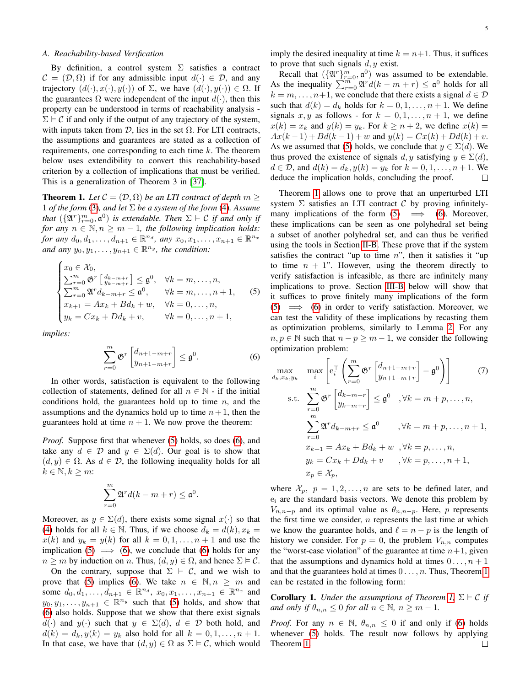### *A. Reachability-based Verification*

By definition, a control system  $\Sigma$  satisfies a contract  $\mathcal{C} = (\mathcal{D}, \Omega)$  if for any admissible input  $d(\cdot) \in \mathcal{D}$ , and any trajectory  $(d(\cdot), x(\cdot), y(\cdot))$  of  $\Sigma$ , we have  $(d(\cdot), y(\cdot)) \in \Omega$ . If the guarantees  $\Omega$  were independent of the input  $d(\cdot)$ , then this property can be understood in terms of reachability analysis -  $\Sigma \models C$  if and only if the output of any trajectory of the system, with inputs taken from  $D$ , lies in the set  $\Omega$ . For LTI contracts, the assumptions and guarantees are stated as a collection of requirements, one corresponding to each time  $k$ . The theorem below uses extendibility to convert this reachability-based criterion by a collection of implications that must be verified. This is a generalization of Theorem 3 in [\[37\]](#page-14-22).

<span id="page-4-0"></span>**Theorem 1.** Let  $C = (\mathcal{D}, \Omega)$  be an LTI contract of depth  $m \geq$ 1 *of the form* [\(3\)](#page-3-4), and let  $\Sigma$  *be a system of the form* [\(4\)](#page-3-3). Assume *that*  $(\{\mathfrak{A}^r\}_{r=0}^m, \mathfrak{a}^0)$  *is extendable. Then*  $\Sigma \models \mathcal{C}$  *if and only if for any*  $n \in \mathbb{N}, n \geq m - 1$ *, the following implication holds: for any*  $d_0, d_1, \ldots, d_{n+1} \in \mathbb{R}^{n_d}$ *, any*  $x_0, x_1, \ldots, x_{n+1} \in \mathbb{R}^{n_x}$ and any  $y_0, y_1, \ldots, y_{n+1} \in \mathbb{R}^{n_y}$ , the condition:

$$
\begin{cases}\nx_0 \in \mathcal{X}_0, \\
\sum_{r=0}^m \mathfrak{G}^r \begin{bmatrix} d_{k-m+r} \\ y_{k-m+r} \end{bmatrix} \leq \mathfrak{g}^0, \quad \forall k = m, \dots, n, \\
\sum_{r=0}^m \mathfrak{A}^r d_{k-m+r} \leq \mathfrak{a}^0, \qquad \forall k = m, \dots, n+1, \\
x_{k+1} = Ax_k + Bd_k + w, \quad \forall k = 0, \dots, n, \\
y_k = Cx_k + Dd_k + v, \qquad \forall k = 0, \dots, n+1,\n\end{cases} (5)
$$

*implies:*

$$
\sum_{r=0}^{m} \mathfrak{G}^r \begin{bmatrix} d_{n+1-m+r} \\ y_{n+1-m+r} \end{bmatrix} \leq \mathfrak{g}^0.
$$
 (6)

In other words, satisfaction is equivalent to the following collection of statements, defined for all  $n \in \mathbb{N}$  - if the initial conditions hold, the guarantees hold up to time  $n$ , and the assumptions and the dynamics hold up to time  $n+1$ , then the guarantees hold at time  $n + 1$ . We now prove the theorem:

*Proof.* Suppose first that whenever [\(5\)](#page-4-1) holds, so does [\(6\)](#page-4-2), and take any  $d \in \mathcal{D}$  and  $y \in \Sigma(d)$ . Our goal is to show that  $(d, y) \in \Omega$ . As  $d \in \mathcal{D}$ , the following inequality holds for all  $k \in \mathbb{N}, k \geq m$ :

$$
\sum_{r=0}^{m} \mathfrak{A}^r d(k-m+r) \leq \mathfrak{a}^0.
$$

Moreover, as  $y \in \Sigma(d)$ , there exists some signal  $x(\cdot)$  so that [\(4\)](#page-3-3) holds for all  $k \in \mathbb{N}$ . Thus, if we choose  $d_k = d(k), x_k =$  $x(k)$  and  $y_k = y(k)$  for all  $k = 0, 1, \ldots, n + 1$  and use the implication [\(5\)](#page-4-1)  $\implies$  [\(6\)](#page-4-2), we conclude that (6) holds for any  $n \geq m$  by induction on n. Thus,  $(d, y) \in \Omega$ , and hence  $\Sigma \models C$ .

On the contrary, suppose that  $\Sigma \models C$ , and we wish to prove that [\(5\)](#page-4-1) implies [\(6\)](#page-4-2). We take  $n \in \mathbb{N}, n \geq m$  and some  $d_0, d_1, \ldots, d_{n+1} \in \mathbb{R}^{n_d}, x_0, x_1, \ldots, x_{n+1} \in \mathbb{R}^{n_x}$  and  $y_0, y_1, \ldots, y_{n+1} \in \mathbb{R}^{n_y}$  such that [\(5\)](#page-4-1) holds, and show that [\(6\)](#page-4-2) also holds. Suppose that we show that there exist signals  $d(\cdot)$  and  $y(\cdot)$  such that  $y \in \Sigma(d)$ ,  $d \in \mathcal{D}$  both hold, and  $d(k) = d_k, y(k) = y_k$  also hold for all  $k = 0, 1, ..., n + 1$ . In that case, we have that  $(d, y) \in \Omega$  as  $\Sigma \models C$ , which would imply the desired inequality at time  $k = n+1$ . Thus, it suffices to prove that such signals  $d, y$  exist.

Recall that  $(\{\mathfrak{A}^r\}_{r=0}^m, \mathfrak{a}^0)$  was assumed to be extendable. As the inequality  $\sum_{r=0}^{m} \mathfrak{A}^r d(k - m + r) \leq \mathfrak{a}^0$  holds for all  $k = m, \ldots, n+1$ , we conclude that there exists a signal  $d \in \mathcal{D}$ such that  $d(k) = d_k$  holds for  $k = 0, 1, \ldots, n + 1$ . We define signals x, y as follows - for  $k = 0, 1, \ldots, n + 1$ , we define  $x(k) = x_k$  and  $y(k) = y_k$ . For  $k \ge n+2$ , we define  $x(k) =$  $Ax(k-1) + Bd(k-1) + w$  and  $y(k) = Cx(k) + Dd(k) + v$ . As we assumed that [\(5\)](#page-4-1) holds, we conclude that  $y \in \Sigma(d)$ . We thus proved the existence of signals d, y satisfying  $y \in \Sigma(d)$ ,  $d \in \mathcal{D}$ , and  $d(k) = d_k, y(k) = y_k$  for  $k = 0, 1, ..., n + 1$ . We deduce the implication holds, concluding the proof.

Theorem [1](#page-4-0) allows one to prove that an unperturbed LTI system  $\Sigma$  satisfies an LTI contract C by proving infinitelymany implications of the form  $(5) \implies (6)$  $(5) \implies (6)$  $(5) \implies (6)$ . Moreover, these implications can be seen as one polyhedral set being a subset of another polyhedral set, and can thus be verified using the tools in Section [II-B.](#page-2-3) These prove that if the system satisfies the contract "up to time  $n$ ", then it satisfies it "up to time  $n + 1$ ". However, using the theorem directly to verify satisfaction is infeasible, as there are infinitely many implications to prove. Section [III-B](#page-5-1) below will show that it suffices to prove finitely many implications of the form  $(5) \implies (6)$  $(5) \implies (6)$  $(5) \implies (6)$  in order to verify satisfaction. Moreover, we can test the validity of these implications by recasting them as optimization problems, similarly to Lemma [2.](#page-3-5) For any  $n, p \in \mathbb{N}$  such that  $n - p \ge m - 1$ , we consider the following optimization problem:

<span id="page-4-4"></span><span id="page-4-2"></span><span id="page-4-1"></span>
$$
\max_{d_k, x_k, y_k} \quad \max_i \left[ e_i^\top \left( \sum_{r=0}^m \mathfrak{G}^r \begin{bmatrix} d_{n+1-m+r} \\ y_{n+1-m+r} \end{bmatrix} - \mathfrak{g}^0 \right) \right] \tag{7}
$$
\n
$$
\text{s.t.} \quad \sum_{r=0}^m \mathfrak{G}^r \begin{bmatrix} d_{k-m+r} \\ y_{k-m+r} \end{bmatrix} \leq \mathfrak{g}^0 \quad , \forall k = m+p, \dots, n,
$$
\n
$$
\sum_{r=0}^m \mathfrak{A}^r d_{k-m+r} \leq \mathfrak{a}^0 \qquad , \forall k = m+p, \dots, n+1,
$$
\n
$$
x_{k+1} = Ax_k + Bd_k + w \quad , \forall k = p, \dots, n,
$$
\n
$$
y_k = Cx_k + Dd_k + v \qquad , \forall k = p, \dots, n+1,
$$
\n
$$
x_p \in \mathcal{X}_p,
$$

where  $\mathcal{X}_p$ ,  $p = 1, 2, \dots, n$  are sets to be defined later, and e<sup>i</sup> are the standard basis vectors. We denote this problem by  $V_{n,n-p}$  and its optimal value as  $\theta_{n,n-p}$ . Here, p represents the first time we consider,  $n$  represents the last time at which we know the guarantee holds, and  $\ell = n - p$  is the length of history we consider. For  $p = 0$ , the problem  $V_{n,n}$  computes the "worst-case violation" of the guarantee at time  $n+1$ , given that the assumptions and dynamics hold at times  $0 \ldots, n+1$ and that the guarantees hold at times  $0 \ldots, n$ . Thus, Theorem [1](#page-4-0) can be restated in the following form:

<span id="page-4-3"></span>**Corollary 1.** *Under the assumptions of Theorem [1,](#page-4-0)*  $\Sigma \models C$  *if and only if*  $\theta_{n,n} \leq 0$  *for all*  $n \in \mathbb{N}$ *,*  $n \geq m-1$ *.* 

*Proof.* For any  $n \in \mathbb{N}$ ,  $\theta_{n,n} \leq 0$  if and only if [\(6\)](#page-4-2) holds whenever [\(5\)](#page-4-1) holds. The result now follows by applying Theorem [1.](#page-4-0) $\Box$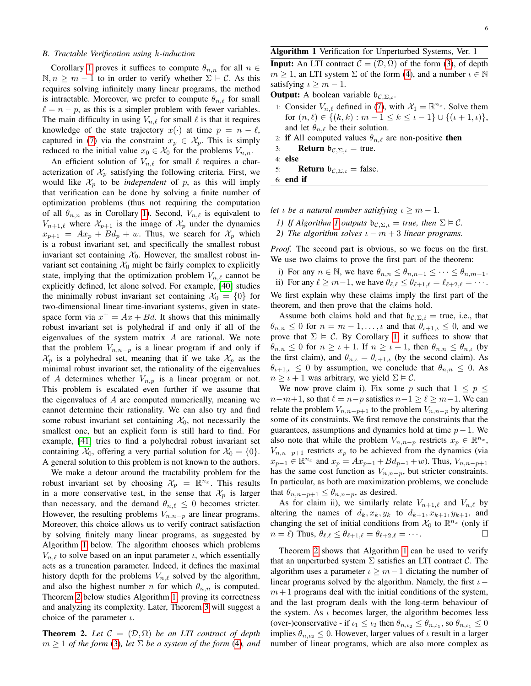#### <span id="page-5-1"></span>*B. Tractable Verification using* k*-induction*

Corollary [1](#page-4-3) proves it suffices to compute  $\theta_{n,n}$  for all  $n \in$  $\mathbb{N}, n \geq m - 1$  to in order to verify whether  $\Sigma \models C$ . As this requires solving infinitely many linear programs, the method is intractable. Moreover, we prefer to compute  $\theta_{n,\ell}$  for small  $\ell = n - p$ , as this is a simpler problem with fewer variables. The main difficulty in using  $V_{n,\ell}$  for small  $\ell$  is that it requires knowledge of the state trajectory  $x(\cdot)$  at time  $p = n - \ell$ , captured in [\(7\)](#page-4-4) via the constraint  $x_p \in \mathcal{X}_p$ . This is simply reduced to the initial value  $x_0 \in \mathcal{X}_0$  for the problems  $V_{n,n}$ .

An efficient solution of  $V_{n,\ell}$  for small  $\ell$  requires a characterization of  $\mathcal{X}_p$  satisfying the following criteria. First, we would like  $\mathcal{X}_p$  to be *independent* of p, as this will imply that verification can be done by solving a finite number of optimization problems (thus not requiring the computation of all  $\theta_{n,n}$  as in Corollary [1\)](#page-4-3). Second,  $V_{n,\ell}$  is equivalent to  $V_{n+1,\ell}$  where  $\mathcal{X}_{p+1}$  is the image of  $\mathcal{X}_p$  under the dynamics  $x_{p+1} = Ax_p + Bd_p + w$ . Thus, we search for  $\mathcal{X}_p$  which is a robust invariant set, and specifically the smallest robust invariant set containing  $X_0$ . However, the smallest robust invariant set containing  $\mathcal{X}_0$  might be fairly complex to explicitly state, implying that the optimization problem  $V_{n,\ell}$  cannot be explicitly defined, let alone solved. For example, [\[40\]](#page-14-25) studies the minimally robust invariant set containing  $\mathcal{X}_0 = \{0\}$  for two-dimensional linear time-invariant systems, given in statespace form via  $x^+ = Ax + Bd$ . It shows that this minimally robust invariant set is polyhedral if and only if all of the eigenvalues of the system matrix  $A$  are rational. We note that the problem  $V_{n,n-p}$  is a linear program if and only if  $\mathcal{X}_p$  is a polyhedral set, meaning that if we take  $\mathcal{X}_p$  as the minimal robust invariant set, the rationality of the eigenvalues of A determines whether  $V_{n,p}$  is a linear program or not. This problem is escalated even further if we assume that the eigenvalues of  $A$  are computed numerically, meaning we cannot determine their rationality. We can also try and find some robust invariant set containing  $\mathcal{X}_0$ , not necessarily the smallest one, but an explicit form is still hard to find. For example, [\[41\]](#page-14-26) tries to find a polyhedral robust invariant set containing  $\mathcal{X}_0$ , offering a very partial solution for  $\mathcal{X}_0 = \{0\}.$ A general solution to this problem is not known to the authors.

We make a detour around the tractability problem for the robust invariant set by choosing  $\mathcal{X}_p = \mathbb{R}^{n_x}$ . This results in a more conservative test, in the sense that  $\mathcal{X}_p$  is larger than necessary, and the demand  $\theta_{n,\ell} \leq 0$  becomes stricter. However, the resulting problems  $V_{n,n-p}$  are linear programs. Moreover, this choice allows us to verify contract satisfaction by solving finitely many linear programs, as suggested by Algorithm [1](#page-5-2) below. The algorithm chooses which problems  $V_{n,\ell}$  to solve based on an input parameter  $\iota$ , which essentially acts as a truncation parameter. Indeed, it defines the maximal history depth for the problems  $V_{n,\ell}$  solved by the algorithm, and also the highest number n for which  $\theta_{n,n}$  is computed. Theorem [2](#page-5-0) below studies Algorithm [1,](#page-5-2) proving its correctness and analyzing its complexity. Later, Theorem [3](#page-6-1) will suggest a choice of the parameter  $\iota$ .

<span id="page-5-0"></span>**Theorem 2.** Let  $C = (D, \Omega)$  be an LTI contract of depth  $m \geq 1$  *of the form* [\(3\)](#page-3-4), let  $\Sigma$  *be a system of the form* [\(4\)](#page-3-3), and

#### <span id="page-5-2"></span>Algorithm 1 Verification for Unperturbed Systems, Ver. 1

**Input:** An LTI contract  $\mathcal{C} = (\mathcal{D}, \Omega)$  of the form [\(3\)](#page-3-4), of depth  $m \geq 1$ , an LTI system  $\Sigma$  of the form [\(4\)](#page-3-3), and a number  $\iota \in \mathbb{N}$ satisfying  $\iota > m - 1$ .

**Output:** A boolean variable  $b_{\mathcal{C},\Sigma,\iota}$ .

- 1: Consider  $V_{n,\ell}$  defined in [\(7\)](#page-4-4), with  $\mathcal{X}_1 = \mathbb{R}^{n_x}$ . Solve them for  $(n, \ell) \in \{(k, k) : m - 1 \le k \le \iota - 1\} \cup \{(t + 1, \iota)\},\$ and let  $\theta_{n,\ell}$  be their solution.
- 2: if All computed values  $\theta_{n,\ell}$  are non-positive then
- 3: **Return**  $b_{\mathcal{C},\Sigma,\iota}$  = true.
- 4: else
- 5: **Return**  $b_{C, \Sigma, t}$  = false.
- 6: end if

*let ι be a natural number satisfying*  $\iota \geq m - 1$ *.* 

- *1) If Algorithm [1](#page-5-2) outputs*  $\mathfrak{b}_{\mathcal{C},\Sigma,\iota} = \mathfrak{true}$ , then  $\Sigma \models \mathcal{C}$ .
- *2) The algorithm solves*  $\iota m + 3$  *linear programs.*

*Proof.* The second part is obvious, so we focus on the first. We use two claims to prove the first part of the theorem:

- i) For any  $n \in \mathbb{N}$ , we have  $\theta_{n,n} \leq \theta_{n,n-1} \leq \cdots \leq \theta_{n,m-1}$ .
- ii) For any  $\ell \geq m-1$ , we have  $\theta_{\ell,\ell} \leq \theta_{\ell+1,\ell} = \ell_{\ell+2,\ell} = \cdots$ .

We first explain why these claims imply the first part of the theorem, and then prove that the claims hold.

Assume both claims hold and that  $\mathfrak{b}_{\mathcal{C},\Sigma,i}$  = true, i.e., that  $\theta_{n,n} \leq 0$  for  $n = m-1, \ldots, \iota$  and that  $\theta_{\iota+1,\iota} \leq 0$ , and we prove that  $\Sigma \models C$ . By Corollary [1,](#page-4-3) it suffices to show that  $\theta_{n,n} \leq 0$  for  $n \geq \iota + 1$ . If  $n \geq \iota + 1$ , then  $\theta_{n,n} \leq \theta_{n,\iota}$  (by the first claim), and  $\theta_{n,\iota} = \theta_{\iota+1,\iota}$  (by the second claim). As  $\theta_{\iota+1,\iota} \leq 0$  by assumption, we conclude that  $\theta_{n,n} \leq 0$ . As  $n \geq \iota + 1$  was arbitrary, we yield  $\Sigma \models C$ .

We now prove claim i). Fix some p such that  $1 \leq p \leq$  $n-m+1$ , so that  $\ell = n-p$  satisfies  $n-1 \ge \ell \ge m-1$ . We can relate the problem  $V_{n,n-p+1}$  to the problem  $V_{n,n-p}$  by altering some of its constraints. We first remove the constraints that the guarantees, assumptions and dynamics hold at time  $p - 1$ . We also note that while the problem  $V_{n,n-p}$  restricts  $x_p \in \mathbb{R}^{n_x}$ ,  $V_{n,n-p+1}$  restricts  $x_p$  to be achieved from the dynamics (via  $x_{p-1} \in \mathbb{R}^{n_x}$  and  $x_p = Ax_{p-1} + Bd_{p-1} + w$ ). Thus,  $V_{n,n-p+1}$ has the same cost function as  $V_{n,n-p}$ , but stricter constraints. In particular, as both are maximization problems, we conclude that  $\theta_{n,n-p+1} \leq \theta_{n,n-p}$ , as desired.

As for claim ii), we similarly relate  $V_{n+1,\ell}$  and  $V_{n,\ell}$  by altering the names of  $d_k, x_k, y_k$  to  $d_{k+1}, x_{k+1}, y_{k+1}$ , and changing the set of initial conditions from  $\mathcal{X}_0$  to  $\mathbb{R}^{n_x}$  (only if  $n = \ell$ ) Thus,  $\theta_{\ell,\ell} \leq \theta_{\ell+1,\ell} = \theta_{\ell+2,\ell} = \cdots$ .  $\Box$ 

Theorem [2](#page-5-0) shows that Algorithm [1](#page-5-2) can be used to verify that an unperturbed system  $\Sigma$  satisfies an LTI contract  $\mathcal{C}$ . The algorithm uses a parameter  $\iota \geq m-1$  dictating the number of linear programs solved by the algorithm. Namely, the first  $\iota$  –  $m+1$  programs deal with the initial conditions of the system, and the last program deals with the long-term behaviour of the system. As  $\iota$  becomes larger, the algorithm becomes less (over-)conservative - if  $\iota_1 \leq \iota_2$  then  $\theta_{n,\iota_2} \leq \theta_{n,\iota_1}$ , so  $\theta_{n,\iota_1} \leq 0$ implies  $\theta_{n,\iota_2} \leq 0$ . However, larger values of  $\iota$  result in a larger number of linear programs, which are also more complex as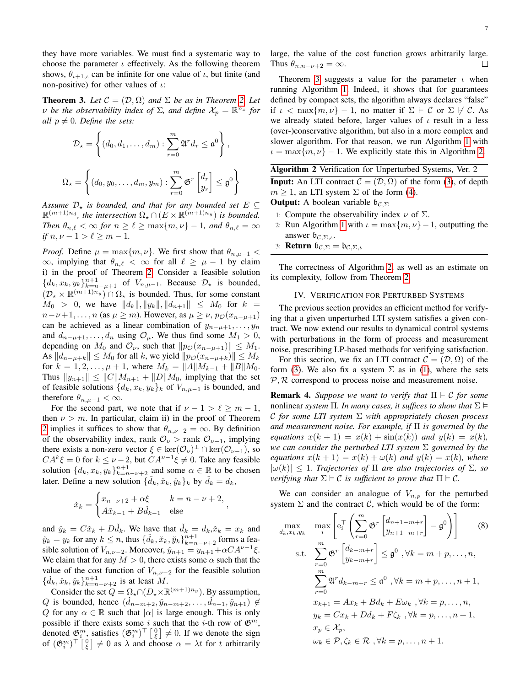they have more variables. We must find a systematic way to choose the parameter  $\iota$  effectively. As the following theorem shows,  $\theta_{\iota+1,\iota}$  can be infinite for one value of  $\iota$ , but finite (and non-positive) for other values of  $\iota$ :

<span id="page-6-1"></span>**Theorem 3.** Let  $C = (D, \Omega)$  and  $\Sigma$  be as in Theorem [2.](#page-5-0) Let  $\nu$  be the observability index of  $\Sigma$ , and define  $\mathcal{X}_p = \mathbb{R}^{n_x}$  for *all*  $p \neq 0$ *. Define the sets:* 

$$
\mathcal{D}_{\star} = \left\{ (d_0, d_1, \dots, d_m) : \sum_{r=0}^{m} \mathfrak{A}^r d_r \leq \mathfrak{a}^0 \right\},
$$
  

$$
\Omega_{\star} = \left\{ (d_0, y_0, \dots, d_m, y_m) : \sum_{r=0}^{m} \mathfrak{G}^r \begin{bmatrix} d_r \\ y_r \end{bmatrix} \leq \mathfrak{g}^0 \right\}
$$

Assume  $\mathcal{D}_\star$  *is bounded, and that for any bounded set*  $E \subseteq$  $\mathbb{R}^{(m+1)n_d}$ , the intersection  $\Omega_\star \cap (E \times \mathbb{R}^{(m+1)n_y})$  is bounded. *Then*  $\theta_{n,\ell} < \infty$  *for*  $n \geq \ell \geq \max\{m, \nu\} - 1$ *, and*  $\theta_{n,\ell} = \infty$ *if*  $n, \nu - 1 > \ell \geq m - 1$ .

*Proof.* Define  $\mu = \max\{m, \nu\}$ . We first show that  $\theta_{n, \mu-1}$  <  $\infty$ , implying that  $\theta_{n,\ell} < \infty$  for all  $\ell \geq \mu - 1$  by claim i) in the proof of Theorem [2.](#page-5-0) Consider a feasible solution  ${d_k, x_k, y_k}_{k=n-\mu+1}^{n+1}$  of  $V_{n,\mu-1}$ . Because  $\mathcal{D}_\star$  is bounded,  $(\mathcal{D}_{\star}\times\mathbb{R}^{(m+1)n_y})\cap\Omega_{\star}$  is bounded. Thus, for some constant  $M_0 > 0$ , we have  $||d_k||, ||y_k||, ||d_{n+1}|| \leq M_0$  for  $k =$  $n-\nu+1, \ldots, n$  (as  $\mu \geq m$ ). However, as  $\mu \geq \nu$ ,  $p_{\mathcal{O}}(x_{n-\mu+1})$ can be achieved as a linear combination of  $y_{n-\mu+1}, \ldots, y_n$ and  $d_{n-\mu+1}, \ldots, d_n$  using  $\mathcal{O}_\mu$ . We thus find some  $M_1 > 0$ , depending on  $M_0$  and  $\mathcal{O}_{\nu}$ , such that  $||p_{\mathcal{O}}(x_{n-\mu+1})|| \leq M_1$ . As  $||d_{n-\mu+k}|| \leq M_0$  for all k, we yield  $||p_{\mathcal{O}}(x_{n-\mu+k})|| \leq M_k$ for  $k = 1, 2, \ldots, \mu + 1$ , where  $M_k = ||A|| M_{k-1} + ||B|| M_0$ . Thus  $||y_{n+1}|| \leq ||C||M_{n+1} + ||D||M_0$ , implying that the set of feasible solutions  $\{d_k, x_k, y_k\}_k$  of  $V_{n,\mu-1}$  is bounded, and therefore  $\theta_{n,\mu-1} < \infty$ .

For the second part, we note that if  $\nu - 1 > \ell \ge m - 1$ , then  $\nu > m$ . In particular, claim ii) in the proof of Theorem [2](#page-5-0) implies it suffices to show that  $\theta_{n,\nu-2} = \infty$ . By definition of the observability index, rank  $\mathcal{O}_{\nu}$  > rank  $\mathcal{O}_{\nu-1}$ , implying there exists a non-zero vector  $\xi \in \ker(\mathcal{O}_{\nu})^{\perp} \cap \ker(\mathcal{O}_{\nu-1}),$  so  $CA^k \xi = 0$  for  $k \leq \nu - 2$ , but  $CA^{\nu-1}\xi \neq 0$ . Take any feasible solution  $\{d_k, x_k, y_k\}_{k=n-\nu+2}^{n+1}$  and some  $\alpha \in \mathbb{R}$  to be chosen later. Define a new solution  $\{\check{d}_k, \check{x}_k, \check{y}_k\}_k$  by  $\check{d}_k = d_k$ ,

$$
\check{x}_k = \begin{cases} x_{n-\nu+2} + \alpha \xi & k = n-\nu+2, \\ A\check{x}_{k-1} + B\check{d}_{k-1} & \text{else} \end{cases}
$$

,

and  $\tilde{y}_k = C\tilde{x}_k + D\tilde{d}_k$ . We have that  $\tilde{d}_k = d_k, \tilde{x}_k = x_k$  and  $\tilde{y}_k = y_k$  for any  $k \leq n$ , thus  $\{\check{d}_k, \check{x}_k, \check{y}_k\}_{k=n-\nu+2}^{n+1}$  forms a feasible solution of  $V_{n,\nu-2}$ . Moreover,  $\check{y}_{n+1} = y_{n+1} + \alpha C A^{\nu-1}\xi$ . We claim that for any  $M > 0$ , there exists some  $\alpha$  such that the value of the cost function of  $V_{n,\nu-2}$  for the feasible solution  $\{\check{d}_k, \check{x}_k, \check{y}_k\}_{k=n-\nu+2}^{n+1}$  is at least M.

Consider the set  $Q = \Omega_{\star} \cap (D_{\star} \times \mathbb{R}^{(m+1)n_y})$ . By assumption, Q is bounded, hence  $(\check{d}_{n-m+2}, \check{y}_{n-m+2}, \ldots, \check{d}_{n+1}, \check{y}_{n+1}) \notin$ Q for any  $\alpha \in \mathbb{R}$  such that  $|\alpha|$  is large enough. This is only possible if there exists some i such that the i-th row of  $\mathfrak{G}^m$ , denoted  $\mathfrak{G}_{i}^{m}$ , satisfies  $(\mathfrak{G}_{i}^{m})^{\top} \begin{bmatrix} 0 \\ \xi \end{bmatrix} \neq 0$ . If we denote the sign of  $(\mathfrak{G}_{i}^{m})^{\top} \begin{bmatrix} 0 \\ \xi \end{bmatrix} \neq 0$  as  $\lambda$  and choose  $\alpha = \lambda t$  for t arbitrarily 7

large, the value of the cost function grows arbitrarily large. Thus  $\theta_{n,n-\nu+2} = \infty$ .

Theorem [3](#page-6-1) suggests a value for the parameter  $\iota$  when running Algorithm [1.](#page-5-2) Indeed, it shows that for guarantees defined by compact sets, the algorithm always declares "false" if  $\iota < \max\{m, \nu\} - 1$ , no matter if  $\Sigma \models C$  or  $\Sigma \not\vdash C$ . As we already stated before, larger values of  $\iota$  result in a less (over-)conservative algorithm, but also in a more complex and slower algorithm. For that reason, we run Algorithm [1](#page-5-2) with  $\iota = \max\{m, \nu\} - 1$ . We explicitly state this in Algorithm [2.](#page-6-0)

<span id="page-6-0"></span>Algorithm 2 Verification for Unperturbed Systems, Ver. 2 **Input:** An LTI contract  $\mathcal{C} = (\mathcal{D}, \Omega)$  of the form [\(3\)](#page-3-4), of depth  $m > 1$ , an LTI system  $\Sigma$  of the form [\(4\)](#page-3-3).

**Output:** A boolean variable  $\mathfrak{b}_{\mathcal{C},\Sigma}$ 

- 1: Compute the observability index  $\nu$  of  $\Sigma$ .
- 2: Run Algorithm [1](#page-5-2) with  $\iota = \max\{m, \nu\} 1$ , outputting the answer  $\mathfrak{b}_{\mathcal{C},\Sigma,\iota}$ .
- 3: **Return**  $\mathfrak{b}_{\mathcal{C},\Sigma} = \mathfrak{b}_{\mathcal{C},\Sigma,\iota}$

The correctness of Algorithm [2,](#page-6-0) as well as an estimate on its complexity, follow from Theorem [2.](#page-5-0)

## IV. VERIFICATION FOR PERTURBED SYSTEMS

<span id="page-6-2"></span>The previous section provides an efficient method for verifying that a given unperturbed LTI system satisfies a given contract. We now extend our results to dynamical control systems with perturbations in the form of process and measurement noise, prescribing LP-based methods for verifying satisfaction.

For this section, we fix an LTI contract  $\mathcal{C} = (\mathcal{D}, \Omega)$  of the form [\(3\)](#page-3-4). We also fix a system  $\Sigma$  as in [\(1\)](#page-2-1), where the sets  $P$ ,  $R$  correspond to process noise and measurement noise.

**Remark 4.** *Suppose we want to verify that*  $\Pi \models C$  *for some* nonlinear *system*  $\Pi$ . In many cases, it suffices to show that  $\Sigma \models$ C *for some LTI system* Σ *with appropriately chosen process and measurement noise. For example, if* Π *is governed by the equations*  $x(k + 1) = x(k) + \sin(x(k))$  *and*  $y(k) = x(k)$ *, we can consider the perturbed LTI system* Σ *governed by the equations*  $x(k+1) = x(k) + \omega(k)$  *and*  $y(k) = x(k)$ *, where*  $|\omega(k)| \leq 1$ . Trajectories of  $\Pi$  are also trajectories of  $\Sigma$ , so *verifying that*  $\Sigma \models C$  *is sufficient to prove that*  $\Pi \models C$ *.* 

We can consider an analogue of  $V_{n,p}$  for the perturbed system  $\Sigma$  and the contract  $\mathcal{C}$ , which would be of the form:

<span id="page-6-3"></span>
$$
\max_{d_k, x_k, y_k} \quad \max_i \left[ e_i^\top \left( \sum_{r=0}^m \mathfrak{G}^r \begin{bmatrix} d_{n+1-m+r} \\ y_{n+1-m+r} \end{bmatrix} - \mathfrak{g}^0 \right) \right] \quad (8)
$$
\n
$$
\text{s.t.} \quad \sum_{r=0}^m \mathfrak{G}^r \begin{bmatrix} d_{k-m+r} \\ y_{k-m+r} \end{bmatrix} \leq \mathfrak{g}^0 \quad \forall k = m+p, \dots, n,
$$
\n
$$
\sum_{r=0}^m \mathfrak{A}^r d_{k-m+r} \leq \mathfrak{a}^0 \quad \forall k = m+p, \dots, n+1,
$$
\n
$$
x_{k+1} = Ax_k + Bd_k + E\omega_k \quad \forall k = p, \dots, n,
$$
\n
$$
y_k = Cx_k + Dd_k + F\zeta_k \quad \forall k = p, \dots, n+1,
$$
\n
$$
x_p \in \mathcal{X}_p,
$$
\n
$$
\omega_k \in \mathcal{P}, \zeta_k \in \mathcal{R} \quad \forall k = p, \dots, n+1.
$$
\n(8)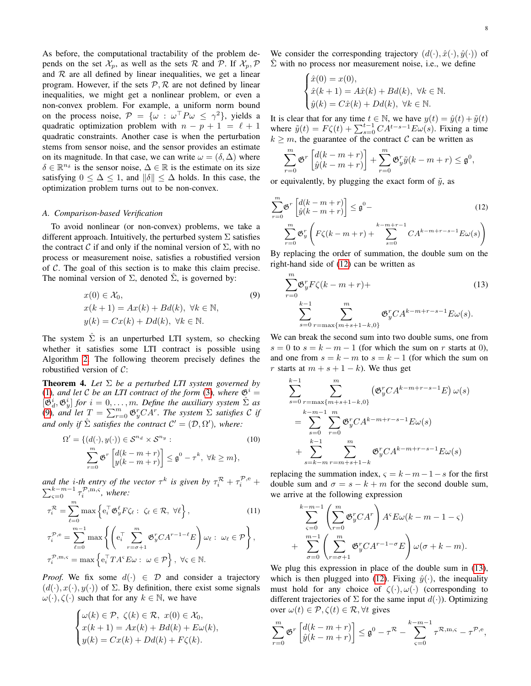As before, the computational tractability of the problem depends on the set  $\mathcal{X}_p$ , as well as the sets  $\mathcal{R}$  and  $\mathcal{P}$ . If  $\mathcal{X}_p$ ,  $\mathcal{P}$ and  $R$  are all defined by linear inequalities, we get a linear program. However, if the sets  $P$ ,  $R$  are not defined by linear inequalities, we might get a nonlinear problem, or even a non-convex problem. For example, a uniform norm bound on the process noise,  $\mathcal{P} = \{ \omega : \omega^{\top} P \omega \leq \gamma^2 \}$ , yields a quadratic optimization problem with  $n - p + 1 = \ell + 1$ quadratic constraints. Another case is when the perturbation stems from sensor noise, and the sensor provides an estimate on its magnitude. In that case, we can write  $\omega = (\delta, \Delta)$  where  $\delta \in \mathbb{R}^{n_{\delta}}$  is the sensor noise,  $\Delta \in \mathbb{R}$  is the estimate on its size satisfying  $0 \leq \Delta \leq 1$ , and  $\|\delta\| \leq \Delta$  holds. In this case, the optimization problem turns out to be non-convex.

## *A. Comparison-based Verification*

To avoid nonlinear (or non-convex) problems, we take a different approach. Intuitively, the perturbed system  $\Sigma$  satisfies the contract C if and only if the nominal version of  $\Sigma$ , with no process or measurement noise, satisfies a robustified version of  $C$ . The goal of this section is to make this claim precise. The nominal version of  $\Sigma$ , denoted  $\hat{\Sigma}$ , is governed by:

$$
x(0) \in \mathcal{X}_0,
$$
  
\n
$$
x(k+1) = Ax(k) + Bd(k), \forall k \in \mathbb{N},
$$
  
\n
$$
y(k) = Cx(k) + Dd(k), \forall k \in \mathbb{N}.
$$
\n(9)

The system  $\hat{\Sigma}$  is an unperturbed LTI system, so checking whether it satisfies some LTI contract is possible using Algorithm [2.](#page-6-0) The following theorem precisely defines the robustified version of C:

<span id="page-7-0"></span>Theorem 4. *Let* Σ *be a perturbed LTI system governed by* [\(1\)](#page-2-1), and let C be an LTI contract of the form [\(3\)](#page-3-4), where  $\mathfrak{G}^i$  =  $[\mathfrak{G}_d^i, \mathfrak{G}_y^i]$  for  $i = 0, \ldots, m$ . Define the auxiliary system  $\hat{\Sigma}$  as [\(9\)](#page-7-1), and let  $T = \sum_{r=0}^{m} \mathfrak{G}_{y}^{r} C A^{r}$ . The system  $\Sigma$  satisfies C if *and only if*  $\hat{\Sigma}$  *satisfies the contract*  $C' = (\mathcal{D}, \Omega')$ *, where:* 

$$
\Omega' = \{ (d(\cdot), y(\cdot)) \in \mathcal{S}^{n_d} \times \mathcal{S}^{n_y} : \quad (10)
$$

$$
\sum_{r=0}^m \mathfrak{G}^r \left[ \begin{matrix} d(k-m+r) \\ y(k-m+r) \end{matrix} \right] \leq \mathfrak{g}^0 - \tau^k, \ \forall k \geq m \},
$$

and the *i*-th entry of the vector  $\tau^k$  is given by  $\tau_i^{\mathcal{R}} + \tau_i^{\mathcal{P},e}$ P *d* the *i*-th entry of the vector  $\tau^k$  is given by  $\tau_i^{\mathcal{R}} + \tau_i^{\mathcal{P},e} + k-m-1$   $\tau_i^{\mathcal{P},m,s}$ , where:

$$
\tau_i^{\mathcal{R}} = \sum_{\ell=0}^m \max \left\{ e_i^{\top} \mathfrak{G}_y^{\ell} F \zeta_{\ell} : \zeta_{\ell} \in \mathcal{R}, \ \forall \ell \right\},\tag{11}
$$
\n
$$
\tau_i^{\mathcal{P},e} = \sum_{\ell=0}^{m-1} \max \left\{ \left( e_i^{\top} \sum_{r=\sigma+1}^m \mathfrak{G}_y^r C A^{r-1-\ell} E \right) \omega_{\ell} : \ \omega_{\ell} \in \mathcal{P} \right\},\
$$
\n
$$
\tau_i^{\mathcal{P},m,\varsigma} = \max \left\{ e_i^{\top} T A^{\varsigma} E \omega : \ \omega \in \mathcal{P} \right\}, \ \forall \varsigma \in \mathbb{N}.
$$

*Proof.* We fix some  $d(\cdot) \in \mathcal{D}$  and consider a trajectory  $(d(\cdot), x(\cdot), y(\cdot))$  of  $\Sigma$ . By definition, there exist some signals  $\omega(\cdot), \zeta(\cdot)$  such that for any  $k \in \mathbb{N}$ , we have

$$
\begin{cases} \omega(k) \in \mathcal{P}, \ \zeta(k) \in \mathcal{R}, \ x(0) \in \mathcal{X}_0, \\ x(k+1) = Ax(k) + Bd(k) + E\omega(k), \\ y(k) = Cx(k) + Dd(k) + F\zeta(k). \end{cases}
$$

We consider the corresponding trajectory  $(d(\cdot), \hat{x}(\cdot), \hat{y}(\cdot))$  of  $\Sigma$  with no process nor measurement noise, i.e., we define

$$
\begin{cases}\n\hat{x}(0) = x(0), \\
\hat{x}(k+1) = A\hat{x}(k) + Bd(k), \ \forall k \in \mathbb{N}.\n\\
\hat{y}(k) = C\hat{x}(k) + Dd(k), \ \forall k \in \mathbb{N}.\n\end{cases}
$$

It is clear that for any time  $t \in \mathbb{N}$ , we have  $y(t) = \hat{y}(t) + \tilde{y}(t)$ where  $\tilde{y}(t) = F\zeta(t) + \sum_{s=0}^{t-1} CA^{t-s-1}E\omega(s)$ . Fixing a time  $k \geq m$ , the guarantee of the contract C can be written as

<span id="page-7-2"></span>
$$
\sum_{r=0}^{m} \mathfrak{G}^r \left[ \frac{d(k-m+r)}{\hat{y}(k-m+r)} \right] + \sum_{r=0}^{m} \mathfrak{G}^r_y \tilde{y}(k-m+r) \leq \mathfrak{g}^0,
$$

or equivalently, by plugging the exact form of  $\tilde{y}$ , as

$$
\sum_{r=0}^{m} \mathfrak{G}^{r} \left[ \begin{aligned} &d(k-m+r) \\ &\hat{y}(k-m+r) \end{aligned} \right] \leq \mathfrak{g}^{0} - \sum_{r=0}^{m} \mathfrak{G}^{r}_{y} \left( F \zeta(k-m+r) + \sum_{s=0}^{k-m+r-1} C A^{k-m+r-s-1} E \omega(s) \right)
$$
\n(12)

By replacing the order of summation, the double sum on the right-hand side of [\(12\)](#page-7-2) can be written as

<span id="page-7-3"></span><span id="page-7-1"></span>
$$
\sum_{r=0}^{m} \mathfrak{G}_{y}^{r} F \zeta (k - m + r) +
$$
\n
$$
\sum_{s=0}^{k-1} \sum_{r=\max\{m+s+1-k,0\}}^{m} \mathfrak{G}_{y}^{r} C A^{k-m+r-s-1} E \omega(s).
$$
\n(13)

We can break the second sum into two double sums, one from  $s = 0$  to  $s = k - m - 1$  (for which the sum on r starts at 0), and one from  $s = k - m$  to  $s = k - 1$  (for which the sum on r starts at  $m + s + 1 - k$ ). We thus get

$$
\sum_{s=0}^{k-1} \sum_{r=\max\{m+s+1-k,0\}}^{m} (\mathfrak{G}_{y}^{r}CA^{k-m+r-s-1}E) \omega(s)
$$
  
= 
$$
\sum_{s=0}^{k-m-1} \sum_{r=0}^{m} \mathfrak{G}_{y}^{r}CA^{k-m+r-s-1}E\omega(s)
$$
  
+ 
$$
\sum_{s=k-m}^{k-1} \sum_{r=m+s+1-k}^{m} \mathfrak{G}_{y}^{r}CA^{k-m+r-s-1}E\omega(s)
$$

<span id="page-7-5"></span><span id="page-7-4"></span>replacing the summation index,  $\varsigma = k - m - 1 - s$  for the first double sum and  $\sigma = s - k + m$  for the second double sum, we arrive at the following expression

$$
\sum_{\varsigma=0}^{k-m-1} \left( \sum_{r=0}^{m} \mathfrak{G}_{y}^{r} C A^{r} \right) A^{s} E \omega (k - m - 1 - \varsigma)
$$
  
+ 
$$
\sum_{\sigma=0}^{m-1} \left( \sum_{r=\sigma+1}^{m} \mathfrak{G}_{y}^{r} C A^{r-1-\sigma} E \right) \omega (\sigma + k - m).
$$

We plug this expression in place of the double sum in [\(13\)](#page-7-3), which is then plugged into [\(12\)](#page-7-2). Fixing  $\hat{y}(\cdot)$ , the inequality must hold for any choice of  $\zeta(\cdot), \omega(\cdot)$  (corresponding to different trajectories of  $\Sigma$  for the same input  $d(\cdot)$ ). Optimizing over  $\omega(t) \in \mathcal{P}, \zeta(t) \in \mathcal{R}, \forall t$  gives

$$
\sum_{r=0}^{m} \mathfrak{G}^r \begin{bmatrix} d(k-m+r) \\ \hat{y}(k-m+r) \end{bmatrix} \leq \mathfrak{g}^0 - \tau^{\mathcal{R}} - \sum_{s=0}^{k-m-1} \tau^{\mathcal{R},m,s} - \tau^{\mathcal{P},e},
$$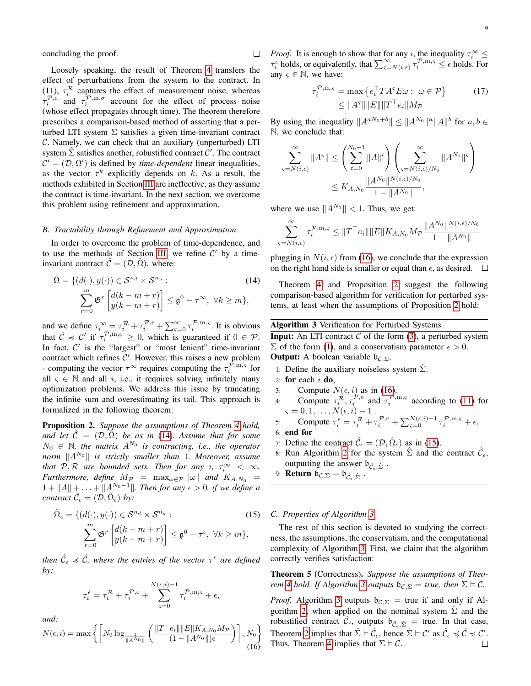concluding the proof.

Loosely speaking, the result of Theorem [4](#page-7-0) transfers the effect of perturbations from the system to the contract. In (11),  $\tau_i^{\mathcal{R}}$  captures the effect of measurement noise, whereas  $\tau_i^{\mathcal{P},\text{e}}$  and  $\tau_i^{\mathcal{P},\text{m},\sigma}$  account for the effect of process noise (whose effect propagates through time). The theorem therefore prescribes a comparison-based method of asserting that a perturbed LTI system  $\Sigma$  satisfies a given time-invariant contract C. Namely, we can check that an auxiliary (unperturbed) LTI system  $\hat{\Sigma}$  satisfies another, robustified contract  $\hat{\mathcal{C}}'$ . The contract  $\mathcal{C}' = (\mathcal{D}, \Omega')$  is defined by *time-dependent* linear inequalities, as the vector  $\tau^k$  explicitly depends on k. As a result, the methods exhibited in Section [III](#page-3-0) are ineffective, as they assume the contract is time-invariant. In the next section, we overcome this problem using refinement and approximation.

## *B. Tractability through Refinement and Approximation*

In order to overcome the problem of time-dependence, and to use the methods of Section [III,](#page-3-0) we refine  $C'$  by a timeinvariant contract  $\hat{\mathcal{C}} = (\mathcal{D}, \hat{\Omega})$ , where:

$$
\hat{\Omega} = \{ (d(\cdot), y(\cdot)) \in \mathcal{S}^{n_d} \times \mathcal{S}^{n_y} : \qquad (14)
$$
\n
$$
\sum_{r=0}^{m} \mathfrak{G}^r \left[ \begin{matrix} d(k-m+r) \\ y(k-m+r) \end{matrix} \right] \leq \mathfrak{g}^0 - \tau^{\infty}, \ \forall k \geq m \},
$$

and we define  $\tau_i^{\infty} = \tau_i^{\mathcal{R}} + \tau_i^{\mathcal{P},e} + \sum_{\varsigma=0}^{\infty} \tau_i^{\mathcal{P},\text{m},\varsigma}$ . It is obvious that  $\hat{\mathcal{C}} \preccurlyeq \mathcal{C}'$  if  $\tau_i^{\mathcal{P},m,\varsigma} \geq 0$ , which is guaranteed if  $0 \in \mathcal{P}$ . In fact,  $C'$  is the "largest" or "most lenient" time-invariant contract which refines  $C'$ . However, this raises a new problem - computing the vector  $\tau^{\infty}$  requires computing the  $\tau_i^{\mathcal{P},\text{m},\varsigma}$  for all  $\varsigma \in \mathbb{N}$  and all i, i.e., it requires solving infinitely many optimization problems. We address this issue by truncating the infinite sum and overestimating its tail. This approach is formalized in the following theorem:

<span id="page-8-1"></span>Proposition 2. *Suppose the assumptions of Theorem [4](#page-7-0) hold, and let*  $\hat{\mathcal{C}} = (\mathcal{D}, \hat{\Omega})$  *be as in* [\(14\)](#page-8-3)*. Assume that for some*  $N_0 \in \mathbb{N}$ , the matrix  $A^{N_0}$  is contracting, i.e., the operator *norm*  $||A^{N_0}||$  *is strictly smaller than* 1*. Moreover, assume that*  $P, R$  *are bounded sets. Then for any i,*  $\tau_i^{\infty} < \infty$ *. Furthermore, define*  $M_{\mathcal{P}} = \max_{\omega \in \mathcal{P}} ||\omega||$  *and*  $K_{A,N_0} =$  $1 + ||A|| + ... + ||A^{N_0-1}||$ *. Then for any*  $\epsilon > 0$ *, if we define a contract*  $\hat{\mathcal{C}}_{\epsilon} = (\mathcal{D}, \hat{\Omega}_{\epsilon})$  by:

$$
\hat{\Omega}_{\epsilon} = \{ (d(\cdot), y(\cdot)) \in \mathcal{S}^{n_d} \times \mathcal{S}^{n_y} : \qquad (15)
$$
\n
$$
\sum_{r=0}^{m} \mathfrak{G}^r \begin{bmatrix} d(k-m+r) \\ y(k-m+r) \end{bmatrix} \leq \mathfrak{g}^0 - \tau^{\epsilon}, \ \forall k \geq m \},
$$

then  $\hat{\mathcal{C}}_{\epsilon} \preccurlyeq \hat{\mathcal{C}}$ , where the entries of the vector  $\tau^{\epsilon}$  are defined *by:*

$$
\tau_i^\epsilon = \tau_i^\mathcal{R} + \tau_i^{\mathcal{P},\mathrm{e}} + \sum_{\varsigma=0}^{N(\epsilon,i)-1} \tau_i^{\mathcal{P},\mathrm{m},\varsigma} + \epsilon,
$$

*and:*

$$
N(\epsilon, i) = \max \left\{ \left\lceil N_0 \log_{\frac{1}{\|A^{N_0}\|}} \left( \frac{\|T^\top e_i\| \|E\| K_{A, N_0} M_{\mathcal{P}}}{(1 - \|A^{N_0}\|) \epsilon} \right) \right\rceil, N_0 \right\}
$$
(16)

*Proof.* It is enough to show that for any i, the inequality  $\tau_i^{\infty} \leq$  $\tau_i^{\epsilon}$  holds, or equivalently, that  $\sum_{s=N(i,\epsilon)}^{\infty} \tau_i^{p,m,s} \leq \epsilon$  holds. For any  $\varsigma \in \mathbb{N}$ , we have:

$$
\tau_i^{\mathcal{P}, \mathbf{m}, \varsigma} = \max \left\{ e_i^{\top} T A^{\varsigma} E \omega : \ \omega \in \mathcal{P} \right\} \tag{17}
$$

$$
\leq \| A^{\varsigma} \| \| E \| \| T^{\top} e_i \| M_{\mathcal{P}}
$$

By using the inequality  $||A^{aN_0+b}|| \leq ||A^{N_0}||^a ||A||^b$  for  $a, b \in$ N, we conclude that:

$$
\sum_{\varsigma=N(i,\epsilon)}^{\infty} \|A^{\varsigma}\| \le \left(\sum_{t=0}^{N_0-1} \|A\|^{t}\right) \left(\sum_{\varsigma=N(i,\epsilon)/N_0}^{\infty} \|A^{N_0}\|^{\varsigma}\right)
$$
  

$$
\le K_{A,N_0} \frac{\|A^{N_0}\|^{N(i,\epsilon)/N_0}}{1 - \|A^{N_0}\|},
$$

where we use  $||A^{N_0}|| < 1$ . Thus, we get:

$$
\sum_{\varsigma=N(i,\epsilon)}^{\infty} \tau_i^{\mathcal{P},\mathbf{m},\varsigma} \leq \|T^{\top}e_i\| \|E\| K_{A,N_0} M_{\mathcal{P}} \frac{\|A^{N_0}\|^{N(i,\epsilon)/N_0}}{1 - \|A^{N_0}\|}
$$

plugging in  $N(i, \epsilon)$  from [\(16\)](#page-8-4), we conclude that the expression on the right hand side is smaller or equal than  $\epsilon$ , as desired.  $\Box$ 

<span id="page-8-3"></span>Theorem [4](#page-7-0) and Proposition [2](#page-8-1) suggest the following comparison-based algorithm for verification for perturbed systems, at least when the assumptions of Proposition [2](#page-8-1) hold:

# <span id="page-8-0"></span>Algorithm 3 Verification for Perturbed Systems

**Input:** An LTI contract  $C$  of the form [\(3\)](#page-3-4), a perturbed system  $\Sigma$  of the form [\(1\)](#page-2-1), and a conservatism parameter  $\epsilon > 0$ . **Output:** A boolean variable  $\mathfrak{b}_{\mathcal{C},\Sigma}$ .

- 1: Define the auxiliary noiseless system  $\Sigma$ .
- 2: for each  $i$  do,
- 3: Compute  $N(\epsilon, i)$  as in [\(16\)](#page-8-4).
- 4: Compute  $\tau_i^{\mathcal{R}}, \tau_i^{\mathcal{P},e}$  and  $\tau_i^{\mathcal{P},m,s}$  according to [\(11\)](#page-7-4) for  $\varsigma = 0, 1, \ldots, N(\epsilon, i) - 1$ .

5: Compute 
$$
\tau_i^{\epsilon} = \tau_i^{\mathcal{R}} + \tau_i^{\mathcal{P},e} + \sum_{\varsigma=0}^{N(\epsilon,i)-1} \tau_i^{\mathcal{P},m,\varsigma} + \epsilon
$$
.  
6: **end for**

 $\Box$ 

- 7: Define the contract  $\hat{\mathcal{C}}_{\epsilon} = (\mathcal{D}, \hat{\Omega}_{\epsilon})$  as in [\(15\)](#page-8-5).
- 8: Run Algorithm [2](#page-6-0) for the system  $\hat{\Sigma}$  and the contract  $\hat{\mathcal{C}}_{\epsilon}$ , outputting the answer  $\mathfrak{b}_{\hat{C}_{\epsilon},\hat{\Sigma}}$ .
- 9: **Return**  $\mathfrak{b}_{\mathcal{C},\Sigma} = \mathfrak{b}_{\hat{\mathcal{C}}_{\epsilon},\hat{\Sigma}}$ .

# <span id="page-8-5"></span><span id="page-8-2"></span>*C. Properties of Algorithm [3](#page-8-0)*

The rest of this section is devoted to studying the correctness, the assumptions, the conservatism, and the computational complexity of Algorithm [3.](#page-8-0) First, we claim that the algorithm correctly verifies satisfaction:

Theorem 5 (Correctness). *Suppose the assumptions of Theorem* [4](#page-7-0) *hold. If Algorithm* [3](#page-8-0) *outputs*  $\mathfrak{b}_{\mathcal{C},\Sigma} = \text{true}$ *, then*  $\Sigma \models \mathcal{C}$ *.* 

<span id="page-8-4"></span>*Proof.* Algorithm [3](#page-8-0) outputs  $b_{C,\Sigma}$  = true if and only if Al-gorithm [2,](#page-6-0) when applied on the nominal system  $\Sigma$  and the robustified contract  $\hat{\mathcal{C}}_{\epsilon}$ , outputs  $\mathfrak{b}_{\hat{\mathcal{C}}_{\epsilon},\hat{\Sigma}}$  = true. In that case, Theorem [2](#page-5-0) implies that  $\hat{\Sigma} \models \hat{\mathcal{C}}_{\epsilon}$ , hence  $\hat{\Sigma} \models \mathcal{C}'$  as  $\hat{\mathcal{C}}_{\epsilon} \preccurlyeq \hat{\mathcal{C}} \preccurlyeq \hat{\mathcal{C}}'$ . Thus, Theorem [4](#page-7-0) implies that  $\Sigma \models C$ .  $\Box$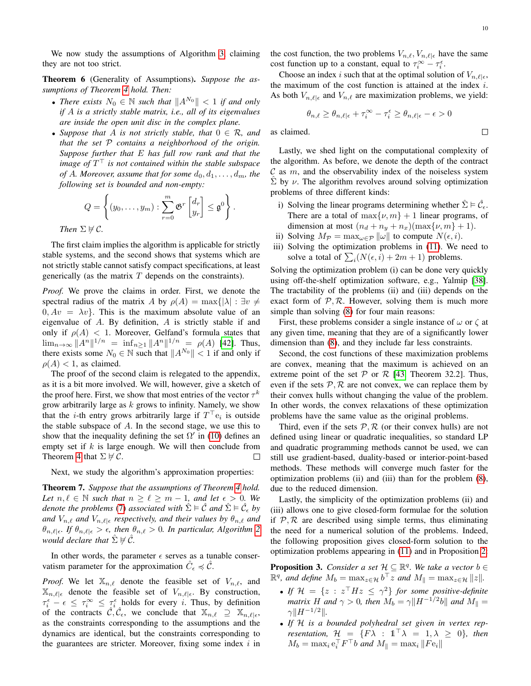$\Box$ 

We now study the assumptions of Algorithm [3,](#page-8-0) claiming they are not too strict.

<span id="page-9-1"></span>Theorem 6 (Generality of Assumptions). *Suppose the assumptions of Theorem [4](#page-7-0) hold. Then:*

- *There exists*  $N_0 \in \mathbb{N}$  *such that*  $||A^{N_0}|| < 1$  *if and only if* A *is a strictly stable matrix, i.e., all of its eigenvalues are inside the open unit disc in the complex plane.*
- *Suppose that* A *is not strictly stable, that*  $0 \in \mathcal{R}$ *, and that the set* P *contains a neighborhood of the origin. Suppose further that* E *has full row rank and that the* image of  $T^{\top}$  is not contained within the stable subspace *of* A. Moreover, assume that for some  $d_0, d_1, \ldots, d_m$ , the *following set is bounded and non-empty:*

$$
Q = \left\{ (y_0, \dots, y_m) : \sum_{r=0}^m \mathfrak{G}^r \begin{bmatrix} d_r \\ y_r \end{bmatrix} \leq \mathfrak{g}^0 \right\}.
$$
  
Then  $\Sigma \nvDash \mathcal{C}.$ 

The first claim implies the algorithm is applicable for strictly stable systems, and the second shows that systems which are not strictly stable cannot satisfy compact specifications, at least generically (as the matrix  $T$  depends on the constraints).

*Proof.* We prove the claims in order. First, we denote the spectral radius of the matrix A by  $\rho(A) = \max\{|\lambda| : \exists v \neq 0\}$  $0, Av = \lambda v$ . This is the maximum absolute value of an eigenvalue of A. By definition, A is strictly stable if and only if  $\rho(A)$  < 1. Moreover, Gelfand's formula states that  $\lim_{n\to\infty} ||A^n||^{1/n} = \inf_{n\geq 1} ||A^n||^{1/n} = \rho(A)$  [\[42\]](#page-14-27). Thus, there exists some  $N_0 \in \mathbb{N}$  such that  $||A^{N_0}|| < 1$  if and only if  $\rho(A)$  < 1, as claimed.

The proof of the second claim is relegated to the appendix, as it is a bit more involved. We will, however, give a sketch of the proof here. First, we show that most entries of the vector  $\tau^k$ grow arbitrarily large as  $k$  grows to infinity. Namely, we show that the *i*-th entry grows arbitrarily large if  $T^{\top}e_i$  is outside the stable subspace of  $A$ . In the second stage, we use this to show that the inequality defining the set  $\Omega'$  in [\(10\)](#page-7-5) defines an empty set if  $k$  is large enough. We will then conclude from Theorem [4](#page-7-0) that  $\Sigma \not\vdash \mathcal{C}$ . П

Next, we study the algorithm's approximation properties:

Theorem 7. *Suppose that the assumptions of Theorem [4](#page-7-0) hold. Let*  $n, \ell \in \mathbb{N}$  *such that*  $n \geq \ell \geq m - 1$ *, and let*  $\epsilon > 0$ *. We denote the problems* [\(7\)](#page-4-4) *associated with*  $\hat{\Sigma} \models \hat{\mathcal{C}}$  *and*  $\hat{\Sigma} \models \hat{\mathcal{C}}_{\epsilon}$  *by and*  $V_{n,\ell}$  *and*  $V_{n,\ell|\epsilon}$  *respectively, and their values by*  $\theta_{n,\ell}$  *and*  $\theta_{n,\ell|\epsilon}$ . If  $\theta_{n,\ell|\epsilon} > \epsilon$ , then  $\theta_{n,\ell} > 0$ . In particular, Algorithm [2](#page-6-0) *would declare that*  $\hat{\Sigma} \nvDash \hat{C}$ *.* 

In other words, the parameter  $\epsilon$  serves as a tunable conservatism parameter for the approximation  $\hat{C}_{\epsilon} \preccurlyeq \hat{C}$ .

*Proof.* We let  $\mathbb{X}_{n,\ell}$  denote the feasible set of  $V_{n,\ell}$ , and  $\mathbb{X}_{n,\ell|\epsilon}$  denote the feasible set of  $V_{n,\ell|\epsilon}$ . By construction,  $\tau_i^{\epsilon} - \epsilon \leq \tau_i^{\infty} \leq \tau_i^{\epsilon}$  holds for every *i*. Thus, by definition of the contracts  $\hat{\mathcal{C}}, \hat{\mathcal{C}}_{\epsilon}$ , we conclude that  $\mathbb{X}_{n,\ell} \supseteq \mathbb{X}_{n,\ell|\epsilon}$ , as the constraints corresponding to the assumptions and the dynamics are identical, but the constraints corresponding to the guarantees are stricter. Moreover, fixing some index  $i$  in the cost function, the two problems  $V_{n,\ell}, V_{n,\ell|\epsilon}$  have the same cost function up to a constant, equal to  $\tau_i^{\infty} - \tau_i^{\epsilon}$ .

Choose an index i such that at the optimal solution of  $V_{n,\ell|\epsilon}$ , the maximum of the cost function is attained at the index i. As both  $V_{n,\ell|\epsilon}$  and  $V_{n,\ell}$  are maximization problems, we yield:

$$
\theta_{n,\ell} \geq \theta_{n,\ell|\epsilon} + \tau_i^\infty - \tau_i^\epsilon \geq \theta_{n,\ell|\epsilon} - \epsilon > 0
$$

as claimed.

Lastly, we shed light on the computational complexity of the algorithm. As before, we denote the depth of the contract  $\mathcal C$  as  $m$ , and the observability index of the noiseless system  $\hat{\Sigma}$  by  $\nu$ . The algorithm revolves around solving optimization problems of three different kinds:

- i) Solving the linear programs determining whether  $\hat{\Sigma} \models \hat{\mathcal{C}}_{\epsilon}$ . There are a total of  $\max\{\nu, m\} + 1$  linear programs, of dimension at most  $(n_d + n_y + n_x)(\max\{\nu, m\} + 1)$ .
- ii) Solving  $M_{\mathcal{P}} = \max_{\omega \in \mathcal{P}} ||\omega||$  to compute  $N(\epsilon, i)$ .
- iii) Solving the optimization problems in [\(11\)](#page-7-4). We need to solve a total of  $\sum_i (N(\epsilon, i) + 2m + 1)$  problems.

Solving the optimization problem (i) can be done very quickly using off-the-shelf optimization software, e.g., Yalmip [\[38\]](#page-14-23). The tractability of the problems (ii) and (iii) depends on the exact form of  $P$ ,  $R$ . However, solving them is much more simple than solving [\(8\)](#page-6-3) for four main reasons:

First, these problems consider a single instance of  $\omega$  or  $\zeta$  at any given time, meaning that they are of a significantly lower dimension than [\(8\)](#page-6-3), and they include far less constraints.

Second, the cost functions of these maximization problems are convex, meaning that the maximum is achieved on an extreme point of the set  $P$  or  $R$  [\[43,](#page-14-28) Theorem 32.2]. Thus, even if the sets  $P$ ,  $R$  are not convex, we can replace them by their convex hulls without changing the value of the problem. In other words, the convex relaxations of these optimization problems have the same value as the original problems.

Third, even if the sets  $P, R$  (or their convex hulls) are not defined using linear or quadratic inequalities, so standard LP and quadratic programming methods cannot be used, we can still use gradient-based, duality-based or interior-point-based methods. These methods will converge much faster for the optimization problems (ii) and (iii) than for the problem [\(8\)](#page-6-3), due to the reduced dimension.

Lastly, the simplicity of the optimization problems (ii) and (iii) allows one to give closed-form formulae for the solution if  $P$ ,  $R$  are described using simple terms, thus eliminating the need for a numerical solution of the problems. Indeed, the following proposition gives closed-form solution to the optimization problems appearing in [\(11\)](#page-7-4) and in Proposition [2:](#page-8-1)

<span id="page-9-0"></span>**Proposition 3.** *Consider a set*  $\mathcal{H} \subseteq \mathbb{R}^q$ . We take a vector  $b \in$  $\mathbb{R}^q$ , and define  $M_b = \max_{z \in \mathcal{H}} b^\top z$  and  $M_{\parallel} = \max_{z \in \mathcal{H}} ||z||$ .

- If  $\mathcal{H} = \{z : z^\top H z \leq \gamma^2\}$  for some positive-definite *matrix* H and  $\gamma > 0$ , then  $M_b = \gamma ||H^{-1/2}b||$  and  $M_{\parallel} =$  $\gamma \| H^{-1/2} \|$
- *If* H *is a bounded polyhedral set given in vertex representation,*  $\mathcal{H} = \{ F \lambda : \mathbb{1}^\top \lambda = 1, \lambda \geq 0 \}$ *, then*  $M_b = \max_i \mathbf{e}_i^\top F^\top b$  and  $M_{\parallel} = \max_i \|F\mathbf{e}_i\|$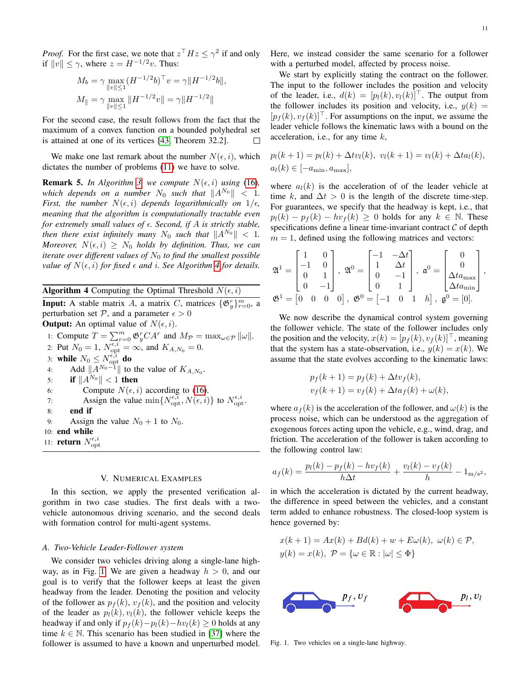*Proof.* For the first case, we note that  $z^{\top}Hz \leq \gamma^2$  if and only if  $||v|| \leq \gamma$ , where  $z = H^{-1/2}v$ . Thus:

$$
M_b = \gamma \max_{\|v\| \le 1} (H^{-1/2}b)^{\top} v = \gamma \|H^{-1/2}b\|,
$$
  

$$
M_{\|} = \gamma \max_{\|v\| \le 1} \|H^{-1/2}v\| = \gamma \|H^{-1/2}\|
$$

For the second case, the result follows from the fact that the maximum of a convex function on a bounded polyhedral set is attained at one of its vertices [\[43,](#page-14-28) Theorem 32.2]. П

We make one last remark about the number  $N(\epsilon, i)$ , which dictates the number of problems [\(11\)](#page-7-4) we have to solve.

**Remark 5.** *In Algorithm [3,](#page-8-0) we compute*  $N(\epsilon, i)$  *using* [\(16\)](#page-8-4)*, which depends on a number*  $N_0$  *such that*  $||A^{N_0}|| < 1$ . *First, the number*  $N(\epsilon, i)$  *depends logarithmically on*  $1/\epsilon$ , *meaning that the algorithm is computationally tractable even for extremely small values of*  $\epsilon$ *. Second, if A is strictly stable, then there exist infinitely many*  $N_0$  *such that*  $||A^{N_0}|| < 1$ . *Moreover,*  $N(\epsilon, i) \geq N_0$  *holds by definition. Thus, we can iterate over different values of*  $N_0$  *to find the smallest possible value of*  $N(\epsilon, i)$  *for fixed*  $\epsilon$  *and i*. See Algorithm [4](#page-10-1) *for details.* 

<span id="page-10-1"></span>**Algorithm 4** Computing the Optimal Threshold  $N(\epsilon, i)$ **Input:** A stable matrix A, a matrix C, matrices  $\{\mathfrak{G}_y^r\}_{r=0}^m$ , a perturbation set  $P$ , and a parameter  $\epsilon > 0$ **Output:** An optimal value of  $N(\epsilon, i)$ . 1: Compute  $T = \sum_{r=0}^{m} \mathfrak{G}_{y}^{r} C A^{r}$  and  $M_{\mathcal{P}} = \max_{\omega \in \mathcal{P}} ||\omega||$ . 2: Put  $N_0 = 1$ ,  $N_{\text{opt}}^{\epsilon, i} = \infty$ , and  $K_{A, N_0} = 0$ . 3: while  $N_0 \leq N_{\text{opt}}^{\epsilon, i}$  do 4: Add  $||A^{N_0-1}||$  to the value of  $K_{A,N_0}$ . 5: **if**  $||A^{N_0}|| < 1$  then 6: Compute  $N(\epsilon, i)$  according to [\(16\)](#page-8-4). 7: Assign the value  $\min\{N_{\text{opt}}^{\epsilon,i}, N(\epsilon, i)\}\)$  to  $N_{\text{opt}}^{\epsilon,i}$ . 8: end if 9: Assign the value  $N_0 + 1$  to  $N_0$ . 10: end while 11: **return**  $N_{\text{opt}}^{\epsilon,i}$ 

## V. NUMERICAL EXAMPLES

<span id="page-10-0"></span>In this section, we apply the presented verification algorithm in two case studies. The first deals with a twovehicle autonomous driving scenario, and the second deals with formation control for multi-agent systems.

#### *A. Two-Vehicle Leader-Follower system*

We consider two vehicles driving along a single-lane high-way, as in Fig. [1.](#page-10-2) We are given a headway  $h > 0$ , and our goal is to verify that the follower keeps at least the given headway from the leader. Denoting the position and velocity of the follower as  $p_f(k)$ ,  $v_f(k)$ , and the position and velocity of the leader as  $p_l(k), v_l(k)$ , the follower vehicle keeps the headway if and only if  $p_f(k)-p_l(k)-hv_l(k) \geq 0$  holds at any time  $k \in \mathbb{N}$ . This scenario has been studied in [\[37\]](#page-14-22) where the follower is assumed to have a known and unperturbed model. Here, we instead consider the same scenario for a follower with a perturbed model, affected by process noise.

We start by explicitly stating the contract on the follower. The input to the follower includes the position and velocity of the leader, i.e.,  $d(k) = [p_l(k), v_l(k)]^\top$ . The output from the follower includes its position and velocity, i.e.,  $y(k) =$  $[p_f (k), v_f (k)]^\top$ . For assumptions on the input, we assume the leader vehicle follows the kinematic laws with a bound on the acceleration, i.e., for any time  $k$ ,

$$
p_l(k+1) = p_l(k) + \Delta t v_l(k), \ v_l(k+1) = v_l(k) + \Delta t a_l(k),
$$
  

$$
a_l(k) \in [-a_{\min}, a_{\max}],
$$

where  $a_l(k)$  is the acceleration of of the leader vehicle at time k, and  $\Delta t > 0$  is the length of the discrete time-step. For guarantees, we specify that the headway is kept, i.e., that  $p_l(k) - p_f(k) - hv_f(k) \geq 0$  holds for any  $k \in \mathbb{N}$ . These specifications define a linear time-invariant contract  $C$  of depth  $m = 1$ , defined using the following matrices and vectors:

$$
\mathfrak{A}^{1} = \begin{bmatrix} 1 & 0 \\ -1 & 0 \\ 0 & 1 \\ 0 & -1 \end{bmatrix}, \ \mathfrak{A}^{0} = \begin{bmatrix} -1 & -\Delta t \\ 1 & \Delta t \\ 0 & -1 \\ 0 & 1 \end{bmatrix}, \ \mathfrak{a}^{0} = \begin{bmatrix} 0 \\ 0 \\ \Delta t a_{\max} \\ \Delta t a_{\min} \end{bmatrix},
$$

$$
\mathfrak{G}^{1} = \begin{bmatrix} 0 & 0 & 0 & 0 \end{bmatrix}, \ \mathfrak{G}^{0} = \begin{bmatrix} -1 & 0 & 1 & h \end{bmatrix}, \ \mathfrak{g}^{0} = \begin{bmatrix} 0 \end{bmatrix}.
$$

We now describe the dynamical control system governing the follower vehicle. The state of the follower includes only the position and the velocity,  $x(k) = [p_f(k), v_f(k)]^\top$ , meaning that the system has a state-observation, i.e.,  $y(k) = x(k)$ . We assume that the state evolves according to the kinematic laws:

$$
p_f(k+1) = p_f(k) + \Delta t v_f(k),
$$
  

$$
v_f(k+1) = v_f(k) + \Delta t a_f(k) + \omega(k),
$$

where  $a_f(k)$  is the acceleration of the follower, and  $\omega(k)$  is the process noise, which can be understood as the aggregation of exogenous forces acting upon the vehicle, e.g., wind, drag, and friction. The acceleration of the follower is taken according to the following control law:

$$
a_f(k) = \frac{p_l(k) - p_f(k) - hv_f(k)}{h\Delta t} + \frac{v_l(k) - v_f(k)}{h} - 1_{m/s^2},
$$

in which the acceleration is dictated by the current headway, the difference in speed between the vehicles, and a constant term added to enhance robustness. The closed-loop system is hence governed by:

$$
x(k+1) = Ax(k) + Bd(k) + w + E\omega(k), \ \omega(k) \in \mathcal{P},
$$
  

$$
y(k) = x(k), \ \mathcal{P} = \{\omega \in \mathbb{R} : |\omega| \le \Phi\}
$$

<span id="page-10-2"></span>

Fig. 1. Two vehicles on a single-lane highway.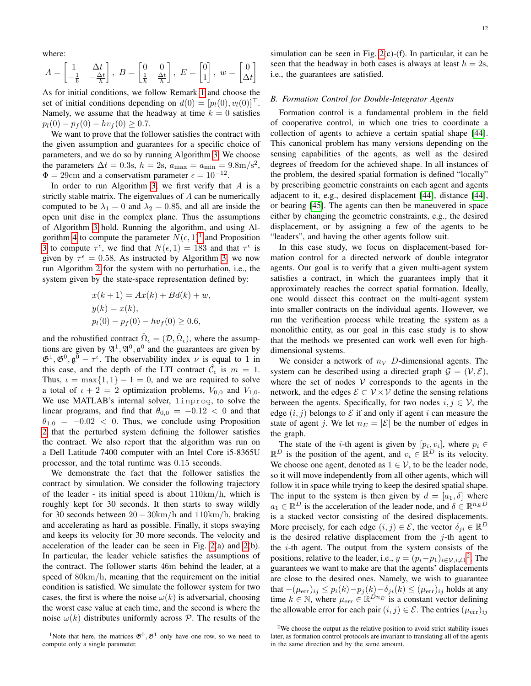where:

$$
A = \begin{bmatrix} 1 & \Delta t \\ -\frac{1}{h} & -\frac{\Delta t}{h} \end{bmatrix}, \ B = \begin{bmatrix} 0 & 0 \\ \frac{1}{h} & \frac{\Delta t}{h} \end{bmatrix}, \ E = \begin{bmatrix} 0 \\ 1 \end{bmatrix}, \ w = \begin{bmatrix} 0 \\ \Delta t \end{bmatrix}
$$

As for initial conditions, we follow Remark [1](#page-2-4) and choose the set of initial conditions depending on  $d(0) = [p_l(0), v_l(0)]$ . Namely, we assume that the headway at time  $k = 0$  satisfies  $p_l(0) - p_f(0) - hv_f(0) \geq 0.7.$ 

We want to prove that the follower satisfies the contract with the given assumption and guarantees for a specific choice of parameters, and we do so by running Algorithm [3.](#page-8-0) We choose the parameters  $\Delta t = 0.3$ s,  $h = 2$ s,  $a_{\text{max}} = a_{\text{min}} = 9.8$ m/s<sup>2</sup>,  $\Phi = 29$ cm and a conservatism parameter  $\epsilon = 10^{-12}$ .

In order to run Algorithm [3,](#page-8-0) we first verify that  $A$  is a strictly stable matrix. The eigenvalues of A can be numerically computed to be  $\lambda_1 = 0$  and  $\lambda_2 = 0.85$ , and all are inside the open unit disc in the complex plane. Thus the assumptions of Algorithm [3](#page-8-0) hold. Running the algorithm, and using Al-gorithm [4](#page-10-1) to compute the parameter  $N(\epsilon, 1)^1$  $N(\epsilon, 1)^1$  $N(\epsilon, 1)^1$  and Proposition [3](#page-9-0) to compute  $\tau^{\epsilon}$ , we find that  $N(\epsilon, 1) = 183$  and that  $\tau^{\epsilon}$  is given by  $\tau^{\epsilon} = 0.58$ . As instructed by Algorithm [3,](#page-8-0) we now run Algorithm [2](#page-6-0) for the system with no perturbation, i.e., the system given by the state-space representation defined by:

$$
x(k + 1) = Ax(k) + Bd(k) + w,
$$
  
\n
$$
y(k) = x(k),
$$
  
\n
$$
p_l(0) - p_f(0) - hv_f(0) \ge 0.6,
$$

and the robustified contract  $\hat{\Omega}_{\epsilon} = (\mathcal{D}, \hat{\Omega}_{\epsilon})$ , where the assumptions are given by  $\mathfrak{A}^1, \mathfrak{A}^0, \mathfrak{a}^0$  and the guarantees are given by  $\mathfrak{G}^1, \mathfrak{G}^0, \mathfrak{g}^0 - \tau^{\epsilon}$ . The observability index  $\nu$  is equal to 1 in this case, and the depth of the LTI contract  $\hat{\mathcal{C}}_{\epsilon}$  is  $m = 1$ . Thus,  $\iota = \max\{1, 1\} - 1 = 0$ , and we are required to solve a total of  $\iota + 2 = 2$  optimization problems,  $V_{0,0}$  and  $V_{1,0}$ . We use MATLAB's internal solver, linprog, to solve the linear programs, and find that  $\theta_{0,0} = -0.12 < 0$  and that  $\theta_{1,0} = -0.02 < 0$ . Thus, we conclude using Proposition [2](#page-8-1) that the perturbed system defining the follower satisfies the contract. We also report that the algorithm was run on a Dell Latitude 7400 computer with an Intel Core i5-8365U processor, and the total runtime was 0.15 seconds.

We demonstrate the fact that the follower satisfies the contract by simulation. We consider the following trajectory of the leader - its initial speed is about 110km/h, which is roughly kept for 30 seconds. It then starts to sway wildly for 30 seconds between  $20 - 30 \text{km/h}$  and  $110 \text{km/h}$ , braking and accelerating as hard as possible. Finally, it stops swaying and keeps its velocity for 30 more seconds. The velocity and acceleration of the leader can be seen in Fig. [2\(](#page-12-0)a) and [2\(](#page-12-0)b). In particular, the leader vehicle satisfies the assumptions of the contract. The follower starts 46m behind the leader, at a speed of 80km/h, meaning that the requirement on the initial condition is satisfied. We simulate the follower system for two cases, the first is where the noise  $\omega(k)$  is adversarial, choosing the worst case value at each time, and the second is where the noise  $\omega(k)$  distributes uniformly across  $\mathcal{P}$ . The results of the simulation can be seen in Fig. [2\(](#page-12-0)c)-(f). In particular, it can be seen that the headway in both cases is always at least  $h = 2s$ , i.e., the guarantees are satisfied.

## <span id="page-11-2"></span>*B. Formation Control for Double-Integrator Agents*

Formation control is a fundamental problem in the field of cooperative control, in which one tries to coordinate a collection of agents to achieve a certain spatial shape [\[44\]](#page-14-29). This canonical problem has many versions depending on the sensing capabilities of the agents, as well as the desired degrees of freedom for the achieved shape. In all instances of the problem, the desired spatial formation is defined "locally" by prescribing geometric constraints on each agent and agents adjacent to it, e.g., desired displacement [\[44\]](#page-14-29), distance [\[44\]](#page-14-29), or bearing [\[45\]](#page-14-30). The agents can then be maneuvered in space either by changing the geometric constraints, e.g., the desired displacement, or by assigning a few of the agents to be "leaders", and having the other agents follow suit.

In this case study, we focus on displacement-based formation control for a directed network of double integrator agents. Our goal is to verify that a given multi-agent system satisfies a contract, in which the guarantees imply that it approximately reaches the correct spatial formation. Ideally, one would dissect this contract on the multi-agent system into smaller contracts on the individual agents. However, we run the verification process while treating the system as a monolithic entity, as our goal in this case study is to show that the methods we presented can work well even for highdimensional systems.

We consider a network of  $n_V$  D-dimensional agents. The system can be described using a directed graph  $\mathcal{G} = (\mathcal{V}, \mathcal{E})$ , where the set of nodes  $V$  corresponds to the agents in the network, and the edges  $\mathcal{E} \subset \mathcal{V} \times \mathcal{V}$  define the sensing relations between the agents. Specifically, for two nodes  $i, j \in V$ , the edge  $(i, j)$  belongs to  $\mathcal E$  if and only if agent i can measure the state of agent j. We let  $n_E = |\mathcal{E}|$  be the number of edges in the graph.

The state of the *i*-th agent is given by  $[p_i, v_i]$ , where  $p_i \in$  $\mathbb{R}^D$  is the position of the agent, and  $v_i \in \mathbb{R}^D$  is its velocity. We choose one agent, denoted as  $1 \in V$ , to be the leader node, so it will move independently from all other agents, which will follow it in space while trying to keep the desired spatial shape. The input to the system is then given by  $d = [a_1, \delta]$  where  $a_1 \in \mathbb{R}^D$  is the acceleration of the leader node, and  $\delta \in \mathbb{R}^{n_E D}$ is a stacked vector consisting of the desired displacements. More precisely, for each edge  $(i, j) \in \mathcal{E}$ , the vector  $\delta_{ji} \in \mathbb{R}^D$ is the desired relative displacement from the  $j$ -th agent to the i-th agent. The output from the system consists of the positions, relative to the leader, i.e.,  $y = (p_i - p_1)_{i \in \mathcal{V}, i \neq 1}^2$  $y = (p_i - p_1)_{i \in \mathcal{V}, i \neq 1}^2$ . The guarantees we want to make are that the agents' displacements are close to the desired ones. Namely, we wish to guarantee that  $-(\mu_{\text{err}})_{ij} \leq p_i(k) - p_j(k) - \delta_{ji}(k) \leq (\mu_{\text{err}})_{ij}$  holds at any time  $k \in \mathbb{N}$ , where  $\mu_{\text{err}} \in \mathbb{R}^{Dn_E}$  is a constant vector defining the allowable error for each pair  $(i, j) \in \mathcal{E}$ . The entries  $(\mu_{err})_{ij}$ 

<span id="page-11-0"></span><sup>&</sup>lt;sup>1</sup>Note that here, the matrices  $\mathfrak{G}^0$ ,  $\mathfrak{G}^1$  only have one row, so we need to compute only a single parameter.

<span id="page-11-1"></span><sup>&</sup>lt;sup>2</sup>We choose the output as the relative position to avoid strict stability issues later, as formation control protocols are invariant to translating all of the agents in the same direction and by the same amount.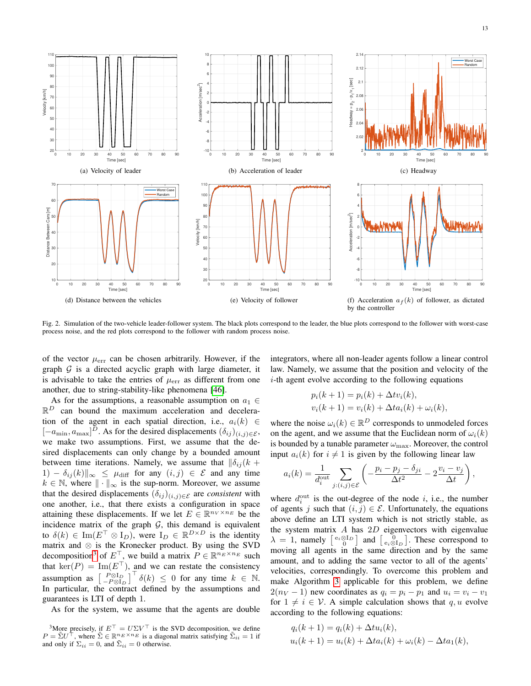13



<span id="page-12-0"></span>Fig. 2. Simulation of the two-vehicle leader-follower system. The black plots correspond to the leader, the blue plots correspond to the follower with worst-case process noise, and the red plots correspond to the follower with random process noise.

of the vector  $\mu_{\text{err}}$  can be chosen arbitrarily. However, if the graph  $G$  is a directed acyclic graph with large diameter, it is advisable to take the entries of  $\mu_{\text{err}}$  as different from one another, due to string-stability-like phenomena [\[46\]](#page-15-0).

As for the assumptions, a reasonable assumption on  $a_1 \in$  $\mathbb{R}^D$  can bound the maximum acceleration and deceleration of the agent in each spatial direction, i.e.,  $a_i(k) \in$  $[-a_{\min}, a_{\max}]^D$ . As for the desired displacements  $(\delta_{ij})_{(i,j)\in\mathcal{E}}$ , we make two assumptions. First, we assume that the desired displacements can only change by a bounded amount between time iterations. Namely, we assume that  $\|\delta_{ij}\|$  +  $1) - \delta_{ij}(k) \|_{\infty} \leq \mu_{diff}$  for any  $(i, j) \in \mathcal{E}$  and any time  $k \in \mathbb{N}$ , where  $\|\cdot\|_{\infty}$  is the sup-norm. Moreover, we assume that the desired displacements  $(\delta_{ij})_{(i,j)\in\mathcal{E}}$  are *consistent* with one another, i.e., that there exists a configuration in space attaining these displacements. If we let  $E \in \mathbb{R}^{n_V \times n_E}$  be the incidence matrix of the graph  $G$ , this demand is equivalent to  $\delta(k) \in \text{Im}(E^{\top} \otimes I_D)$ , were  $I_D \in \mathbb{R}^{D \times D}$  is the identity matrix and  $\otimes$  is the Kronecker product. By using the SVD decomposition<sup>[3](#page-12-1)</sup> of  $E^{\top}$ , we build a matrix  $P \in \mathbb{R}^{n_E \times n_E}$  such that  $\text{ker}(P) = \text{Im}(E^{\top})$ , and we can restate the consistency assumption as  $\begin{bmatrix} P \otimes I_D \\ -P \otimes I_D \end{bmatrix}^\top \delta(k) \leq 0$  for any time  $k \in \mathbb{N}$ . In particular, the contract defined by the assumptions and guarantees is LTI of depth 1.

As for the system, we assume that the agents are double

integrators, where all non-leader agents follow a linear control law. Namely, we assume that the position and velocity of the  $i$ -th agent evolve according to the following equations

$$
p_i(k + 1) = p_i(k) + \Delta t v_i(k),
$$
  

$$
v_i(k + 1) = v_i(k) + \Delta t a_i(k) + \omega_i(k),
$$

where the noise  $\omega_i(k) \in \mathbb{R}^D$  corresponds to unmodeled forces on the agent, and we assume that the Euclidean norm of  $\omega_i(k)$ is bounded by a tunable parameter  $\omega_{\text{max}}$ . Moreover, the control input  $a_i(k)$  for  $i \neq 1$  is given by the following linear law

$$
a_i(k) = \frac{1}{d_i^{\text{out}}} \sum_{j:(i,j)\in\mathcal{E}} \left( -\frac{p_i - p_j - \delta_{ji}}{\Delta t^2} - 2\frac{v_i - v_j}{\Delta t} \right),
$$

where  $d_i^{\text{out}}$  is the out-degree of the node *i*, i.e., the number of agents j such that  $(i, j) \in \mathcal{E}$ . Unfortunately, the equations above define an LTI system which is not strictly stable, as the system matrix  $A$  has  $2D$  eigenvectors with eigenvalue  $\lambda = 1$ , namely  $\begin{bmatrix} e_i \otimes I_D \ 0 \end{bmatrix}$  and  $\begin{bmatrix} 0 \\ e_i \otimes I_D \end{bmatrix}$ . These correspond to moving all agents in the same direction and by the same amount, and to adding the same vector to all of the agents' velocities, correspondingly. To overcome this problem and make Algorithm [3](#page-8-0) applicable for this problem, we define  $2(n_V - 1)$  new coordinates as  $q_i = p_i - p_1$  and  $u_i = v_i - v_1$ for  $1 \neq i \in V$ . A simple calculation shows that q, u evolve according to the following equations:

$$
q_i(k+1) = q_i(k) + \Delta t u_i(k),
$$
  

$$
u_i(k+1) = u_i(k) + \Delta t a_i(k) + \omega_i(k) - \Delta t a_1(k),
$$

<span id="page-12-1"></span><sup>&</sup>lt;sup>3</sup>More precisely, if  $E^{\top} = U \Sigma V^{\top}$  is the SVD decomposition, we define  $P = \tilde{\Sigma} U^{\dagger}$ , where  $\tilde{\Sigma} \in \mathbb{R}^{n_E \times n_E}$  is a diagonal matrix satisfying  $\tilde{\Sigma}_{ii} = 1$  if and only if  $\Sigma_{ii} = 0$ , and  $\tilde{\Sigma}_{ii} = 0$  otherwise.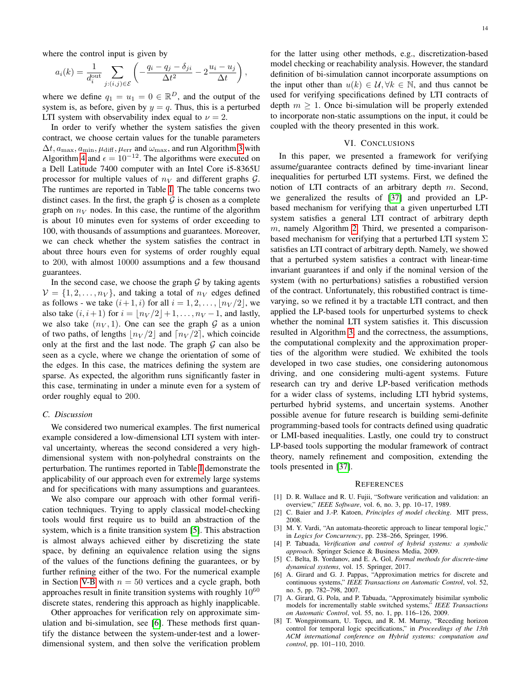where the control input is given by

$$
a_i(k) = \frac{1}{d_i^{\text{out}}} \sum_{j:(i,j)\in\mathcal{E}} \left( -\frac{q_i - q_j - \delta_{ji}}{\Delta t^2} - 2\frac{u_i - u_j}{\Delta t} \right),
$$

where we define  $q_1 = u_1 = 0 \in \mathbb{R}^D$ , and the output of the system is, as before, given by  $y = q$ . Thus, this is a perturbed LTI system with observability index equal to  $\nu = 2$ .

In order to verify whether the system satisfies the given contract, we choose certain values for the tunable parameters  $\Delta t$ ,  $a_{\text{max}}$ ,  $a_{\text{min}}$ ,  $\mu$ <sub>diff</sub>,  $\mu$ <sub>err</sub> and  $\omega$ <sub>max</sub>, and run Algorithm [3](#page-8-0) with Algorithm [4](#page-10-1) and  $\epsilon = 10^{-12}$ . The algorithms were executed on a Dell Latitude 7400 computer with an Intel Core i5-8365U processor for multiple values of  $n_V$  and different graphs  $\mathcal{G}$ . The runtimes are reported in Table [I.](#page-14-31) The table concerns two distinct cases. In the first, the graph  $G$  is chosen as a complete graph on  $n_V$  nodes. In this case, the runtime of the algorithm is about 10 minutes even for systems of order exceeding to 100, with thousands of assumptions and guarantees. Moreover, we can check whether the system satisfies the contract in about three hours even for systems of order roughly equal to 200, with almost 10000 assumptions and a few thousand guarantees.

In the second case, we choose the graph  $G$  by taking agents  $V = \{1, 2, \ldots, n_V\}$ , and taking a total of  $n_V$  edges defined as follows - we take  $(i+1, i)$  for all  $i = 1, 2, \ldots, \lfloor n_V/2 \rfloor$ , we also take  $(i, i+1)$  for  $i = |n_V/2|+ 1, \ldots, n_V -1$ , and lastly, we also take  $(n_V, 1)$ . One can see the graph G as a union of two paths, of lengths  $\lfloor n_V / 2 \rfloor$  and  $\lfloor n_V / 2 \rfloor$ , which coincide only at the first and the last node. The graph  $G$  can also be seen as a cycle, where we change the orientation of some of the edges. In this case, the matrices defining the system are sparse. As expected, the algorithm runs significantly faster in this case, terminating in under a minute even for a system of order roughly equal to 200.

## *C. Discussion*

We considered two numerical examples. The first numerical example considered a low-dimensional LTI system with interval uncertainty, whereas the second considered a very highdimensional system with non-polyhedral constraints on the perturbation. The runtimes reported in Table [I](#page-14-31) demonstrate the applicability of our approach even for extremely large systems and for specifications with many assumptions and guarantees.

We also compare our approach with other formal verification techniques. Trying to apply classical model-checking tools would first require us to build an abstraction of the system, which is a finite transition system [\[5\]](#page-13-4). This abstraction is almost always achieved either by discretizing the state space, by defining an equivalence relation using the signs of the values of the functions defining the guarantees, or by further refining either of the two. For the numerical example in Section [V-B](#page-11-2) with  $n = 50$  vertices and a cycle graph, both approaches result in finite transition systems with roughly  $10^{60}$ discrete states, rendering this approach as highly inapplicable.

Other approaches for verification rely on approximate simulation and bi-simulation, see [\[6\]](#page-13-5). These methods first quantify the distance between the system-under-test and a lowerdimensional system, and then solve the verification problem for the latter using other methods, e.g., discretization-based model checking or reachability analysis. However, the standard definition of bi-simulation cannot incorporate assumptions on the input other than  $u(k) \in \mathcal{U}, \forall k \in \mathbb{N}$ , and thus cannot be used for verifying specifications defined by LTI contracts of depth  $m \geq 1$ . Once bi-simulation will be properly extended to incorporate non-static assumptions on the input, it could be coupled with the theory presented in this work.

## VI. CONCLUSIONS

In this paper, we presented a framework for verifying assume/guarantee contracts defined by time-invariant linear inequalities for perturbed LTI systems. First, we defined the notion of LTI contracts of an arbitrary depth m. Second, we generalized the results of [\[37\]](#page-14-22) and provided an LPbased mechanism for verifying that a given unperturbed LTI system satisfies a general LTI contract of arbitrary depth  $m$ , namely Algorithm [2.](#page-6-0) Third, we presented a comparisonbased mechanism for verifying that a perturbed LTI system  $\Sigma$ satisfies an LTI contract of arbitrary depth. Namely, we showed that a perturbed system satisfies a contract with linear-time invariant guarantees if and only if the nominal version of the system (with no perturbations) satisfies a robustified version of the contract. Unfortunately, this robustified contract is timevarying, so we refined it by a tractable LTI contract, and then applied the LP-based tools for unperturbed systems to check whether the nominal LTI system satisfies it. This discussion resulted in Algorithm [3,](#page-8-0) and the correctness, the assumptions, the computational complexity and the approximation properties of the algorithm were studied. We exhibited the tools developed in two case studies, one considering autonomous driving, and one considering multi-agent systems. Future research can try and derive LP-based verification methods for a wider class of systems, including LTI hybrid systems, perturbed hybrid systems, and uncertain systems. Another possible avenue for future research is building semi-definite programming-based tools for contracts defined using quadratic or LMI-based inequalities. Lastly, one could try to construct LP-based tools supporting the modular framework of contract theory, namely refinement and composition, extending the tools presented in [\[37\]](#page-14-22).

#### **REFERENCES**

- <span id="page-13-0"></span>[1] D. R. Wallace and R. U. Fujii, "Software verification and validation: an overview," *IEEE Software*, vol. 6, no. 3, pp. 10–17, 1989.
- <span id="page-13-1"></span>[2] C. Baier and J.-P. Katoen, *Principles of model checking*. MIT press, 2008.
- <span id="page-13-2"></span>[3] M. Y. Vardi, "An automata-theoretic approach to linear temporal logic," in *Logics for Concurrency*, pp. 238–266, Springer, 1996.
- <span id="page-13-3"></span>[4] P. Tabuada, *Verification and control of hybrid systems: a symbolic approach*. Springer Science & Business Media, 2009.
- <span id="page-13-4"></span>[5] C. Belta, B. Yordanov, and E. A. Gol, *Formal methods for discrete-time dynamical systems*, vol. 15. Springer, 2017.
- <span id="page-13-5"></span>[6] A. Girard and G. J. Pappas, "Approximation metrics for discrete and continuous systems," *IEEE Transactions on Automatic Control*, vol. 52, no. 5, pp. 782–798, 2007.
- [7] A. Girard, G. Pola, and P. Tabuada, "Approximately bisimilar symbolic models for incrementally stable switched systems," *IEEE Transactions on Automatic Control*, vol. 55, no. 1, pp. 116–126, 2009.
- <span id="page-13-6"></span>[8] T. Wongpiromsarn, U. Topcu, and R. M. Murray, "Receding horizon control for temporal logic specifications," in *Proceedings of the 13th ACM international conference on Hybrid systems: computation and control*, pp. 101–110, 2010.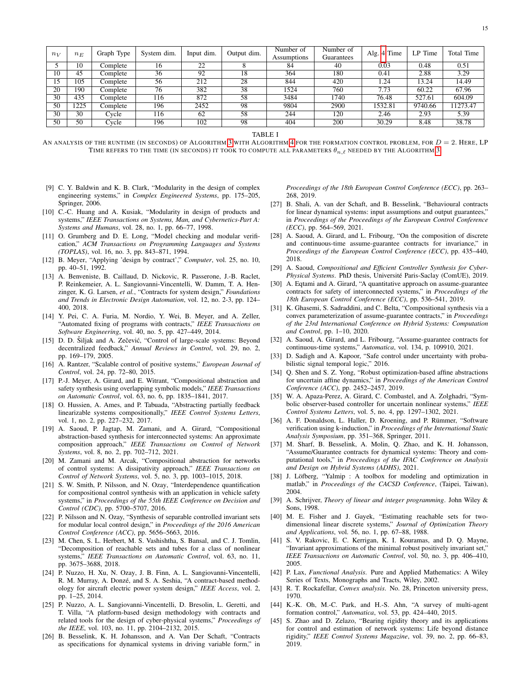| $n_V$ | $n_E$             | Graph Type | System dim. | Input dim. | Output dim. | Number of<br><b>Assumptions</b> | Number of<br>Guarantees | Alg. 4 Time | LP Time | Total Time |
|-------|-------------------|------------|-------------|------------|-------------|---------------------------------|-------------------------|-------------|---------|------------|
|       | 10                | Complete   | 16          | 22         |             | 84                              | 40                      | 0.03        | 0.48    | 0.51       |
| 10    | 45                | Complete   | 36          | 92         | 18          | 364                             | 180                     | 0.41        | 2.88    | 3.29       |
| 15    | 105               | Complete   | 56          | 212        | 28          | 844                             | 420                     | 1.24        | 13.24   | 14.49      |
| 20    | 190               | Complete   | 76          | 382        | 38          | 1524                            | 760                     | 7.73        | 60.22   | 67.96      |
| 30    | 435               | Complete   | 116         | 872        | 58          | 3484                            | 1740                    | 76.48       | 527.61  | 604.09     |
| 50    | $\overline{1225}$ | Complete   | 196         | 2452       | 98          | 9804                            | 2900                    | 1532.81     | 9740.66 | 11273.47   |
| 30    | 30                | Cycle      | 116         | 62         | 58          | 244                             | 120                     | 2.46        | 2.93    | 5.39       |
| 50    | 50                | Cycle      | 196         | 102        | 98          | 404                             | 200                     | 30.29       | 8.48    | 38.78      |

TABLE I

<span id="page-14-31"></span>AN ANALYSIS OF THE RUNTIME (IN SECONDS) OF ALGORITHM [3](#page-8-0) WITH ALGORITHM [4](#page-10-1) FOR THE FORMATION CONTROL PROBLEM, FOR  $D = 2$ . HERE, LP TIME REFERS TO THE TIME (IN SECONDS) IT TOOK TO COMPUTE ALL PARAMETERS  $\theta_{n,\ell}$  needed by the Algorithm [3.](#page-8-0)

<span id="page-14-0"></span>[9] C. Y. Baldwin and K. B. Clark, "Modularity in the design of complex engineering systems," in *Complex Engineered Systems*, pp. 175–205, Springer, 2006.

*Proceedings of the 18th European Control Conference (ECC)*, pp. 263– 268, 2019.

- <span id="page-14-1"></span>[10] C.-C. Huang and A. Kusiak, "Modularity in design of products and systems," *IEEE Transactions on Systems, Man, and Cybernetics-Part A: Systems and Humans*, vol. 28, no. 1, pp. 66–77, 1998.
- <span id="page-14-2"></span>[11] O. Grumberg and D. E. Long, "Model checking and modular verification," *ACM Transactions on Programming Languages and Systems (TOPLAS)*, vol. 16, no. 3, pp. 843–871, 1994.
- <span id="page-14-3"></span>[12] B. Meyer, "Applying 'design by contract'," *Computer*, vol. 25, no. 10, pp. 40–51, 1992.
- <span id="page-14-4"></span>[13] A. Benveniste, B. Caillaud, D. Nickovic, R. Passerone, J.-B. Raclet, P. Reinkemeier, A. L. Sangiovanni-Vincentelli, W. Damm, T. A. Henzinger, K. G. Larsen, *et al.*, "Contracts for system design," *Foundations and Trends in Electronic Design Automation*, vol. 12, no. 2-3, pp. 124– 400, 2018.
- <span id="page-14-5"></span>[14] Y. Pei, C. A. Furia, M. Nordio, Y. Wei, B. Meyer, and A. Zeller, "Automated fixing of programs with contracts," *IEEE Transactions on Software Engineering*, vol. 40, no. 5, pp. 427–449, 2014.
- <span id="page-14-6"></span>[15] D. D. Šiljak and A. Zečević, "Control of large-scale systems: Beyond decentralized feedback," *Annual Reviews in Control*, vol. 29, no. 2, pp. 169–179, 2005.
- <span id="page-14-7"></span>[16] A. Rantzer, "Scalable control of positive systems," *European Journal of Control*, vol. 24, pp. 72–80, 2015.
- <span id="page-14-8"></span>[17] P.-J. Meyer, A. Girard, and E. Witrant, "Compositional abstraction and safety synthesis using overlapping symbolic models," *IEEE Transactions on Automatic Control*, vol. 63, no. 6, pp. 1835–1841, 2017.
- [18] O. Hussien, A. Ames, and P. Tabuada, "Abstracting partially feedback linearizable systems compositionally," *IEEE Control Systems Letters*, vol. 1, no. 2, pp. 227–232, 2017.
- [19] A. Saoud, P. Jagtap, M. Zamani, and A. Girard, "Compositional abstraction-based synthesis for interconnected systems: An approximate composition approach," *IEEE Transactions on Control of Network Systems*, vol. 8, no. 2, pp. 702–712, 2021.
- <span id="page-14-9"></span>[20] M. Zamani and M. Arcak, "Compositional abstraction for networks of control systems: A dissipativity approach," *IEEE Transactions on Control of Network Systems*, vol. 5, no. 3, pp. 1003–1015, 2018.
- <span id="page-14-10"></span>[21] S. W. Smith, P. Nilsson, and N. Ozay, "Interdependence quantification for compositional control synthesis with an application in vehicle safety systems," in *Proceedings of the 55th IEEE Conference on Decision and Control (CDC)*, pp. 5700–5707, 2016.
- [22] P. Nilsson and N. Ozay, "Synthesis of separable controlled invariant sets for modular local control design," in *Proceedings of the 2016 American Control Conference (ACC)*, pp. 5656–5663, 2016.
- <span id="page-14-11"></span>[23] M. Chen, S. L. Herbert, M. S. Vashishtha, S. Bansal, and C. J. Tomlin, "Decomposition of reachable sets and tubes for a class of nonlinear systems," *IEEE Transactions on Automatic Control*, vol. 63, no. 11, pp. 3675–3688, 2018.
- <span id="page-14-12"></span>[24] P. Nuzzo, H. Xu, N. Ozay, J. B. Finn, A. L. Sangiovanni-Vincentelli, R. M. Murray, A. Donzé, and S. A. Seshia, "A contract-based methodology for aircraft electric power system design," *IEEE Access*, vol. 2, pp. 1–25, 2014.
- <span id="page-14-13"></span>[25] P. Nuzzo, A. L. Sangiovanni-Vincentelli, D. Bresolin, L. Geretti, and T. Villa, "A platform-based design methodology with contracts and related tools for the design of cyber-physical systems," *Proceedings of the IEEE*, vol. 103, no. 11, pp. 2104–2132, 2015.
- <span id="page-14-14"></span>[26] B. Besselink, K. H. Johansson, and A. Van Der Schaft, "Contracts as specifications for dynamical systems in driving variable form," in
- <span id="page-14-16"></span>[27] B. Shali, A. van der Schaft, and B. Besselink, "Behavioural contracts for linear dynamical systems: input assumptions and output guarantees," in *Proceedings of the Proceedings of the European Control Conference (ECC)*, pp. 564–569, 2021.
- <span id="page-14-17"></span>[28] A. Saoud, A. Girard, and L. Fribourg, "On the composition of discrete and continuous-time assume-guarantee contracts for invariance," in *Proceedings of the European Control Conference (ECC)*, pp. 435–440, 2018.
- [29] A. Saoud, *Compositional and Efficient Controller Synthesis for Cyber-Physical Systems*. PhD thesis, Universite Paris-Saclay (ComUE), 2019. ´
- [30] A. Eqtami and A. Girard, "A quantitative approach on assume-guarantee contracts for safety of interconnected systems," in *Proceedings of the 18th European Control Conference (ECC)*, pp. 536–541, 2019.
- <span id="page-14-18"></span>[31] K. Ghasemi, S. Sadraddini, and C. Belta, "Compositional synthesis via a convex parameterization of assume-guarantee contracts," in *Proceedings of the 23rd International Conference on Hybrid Systems: Computation and Control*, pp. 1–10, 2020.
- <span id="page-14-15"></span>[32] A. Saoud, A. Girard, and L. Fribourg, "Assume-guarantee contracts for continuous-time systems," *Automatica*, vol. 134, p. 109910, 2021.
- <span id="page-14-19"></span>[33] D. Sadigh and A. Kapoor, "Safe control under uncertainty with probabilistic signal temporal logic," 2016.
- [34] Q. Shen and S. Z. Yong, "Robust optimization-based affine abstractions for uncertain affine dynamics," in *Proceedings of the American Control Conference (ACC)*, pp. 2452–2457, 2019.
- <span id="page-14-20"></span>[35] W. A. Apaza-Perez, A. Girard, C. Combastel, and A. Zolghadri, "Symbolic observer-based controller for uncertain nonlinear systems," *IEEE Control Systems Letters*, vol. 5, no. 4, pp. 1297–1302, 2021.
- <span id="page-14-21"></span>[36] A. F. Donaldson, L. Haller, D. Kroening, and P. Rümmer, "Software verification using k-induction," in *Proceedings of the International Static Analysis Symposium*, pp. 351–368, Springer, 2011.
- <span id="page-14-22"></span>[37] M. Sharf, B. Besselink, A. Molin, Q. Zhao, and K. H. Johansson, "Assume/Guarantee contracts for dynamical systems: Theory and computational tools," in *Proceedings of the IFAC Conference on Analysis and Design on Hybrid Systems (ADHS)*, 2021.
- <span id="page-14-23"></span>[38] J. Löfberg, "Yalmip : A toolbox for modeling and optimization in matlab," in *Proceedings of the CACSD Conference*, (Taipei, Taiwan), 2004.
- <span id="page-14-24"></span>[39] A. Schrijver, *Theory of linear and integer programming*. John Wiley & Sons, 1998.
- <span id="page-14-25"></span>[40] M. E. Fisher and J. Gayek, "Estimating reachable sets for twodimensional linear discrete systems," *Journal of Optimization Theory and Applications*, vol. 56, no. 1, pp. 67–88, 1988.
- <span id="page-14-26"></span>[41] S. V. Rakovic, E. C. Kerrigan, K. I. Kouramas, and D. O. Mayne, "Invariant approximations of the minimal robust positively invariant set," *IEEE Transactions on Automatic Control*, vol. 50, no. 3, pp. 406–410, 2005.
- <span id="page-14-27"></span>[42] P. Lax, *Functional Analysis*. Pure and Applied Mathematics: A Wiley Series of Texts, Monographs and Tracts, Wiley, 2002.
- <span id="page-14-28"></span>[43] R. T. Rockafellar, *Convex analysis*. No. 28, Princeton university press, 1970.
- <span id="page-14-29"></span>[44] K.-K. Oh, M.-C. Park, and H.-S. Ahn, "A survey of multi-agent formation control," *Automatica*, vol. 53, pp. 424–440, 2015.
- <span id="page-14-30"></span>[45] S. Zhao and D. Zelazo, "Bearing rigidity theory and its applications for control and estimation of network systems: Life beyond distance rigidity," *IEEE Control Systems Magazine*, vol. 39, no. 2, pp. 66–83, 2019.